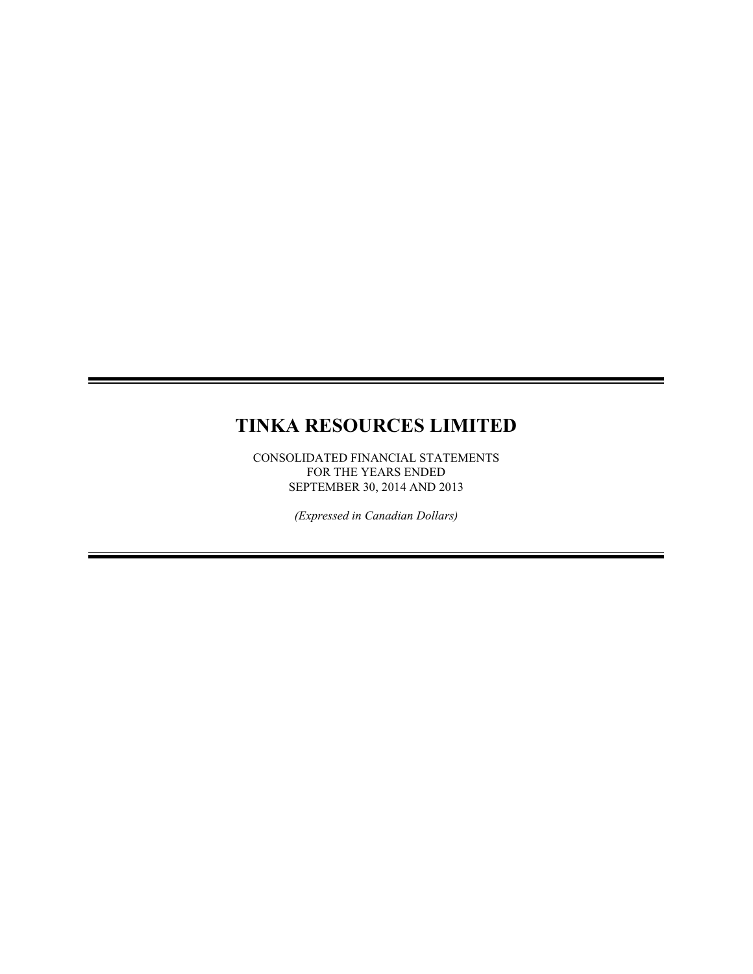# **TINKA RESOURCES LIMITED**

CONSOLIDATED FINANCIAL STATEMENTS FOR THE YEARS ENDED SEPTEMBER 30, 2014 AND 2013

*(Expressed in Canadian Dollars)*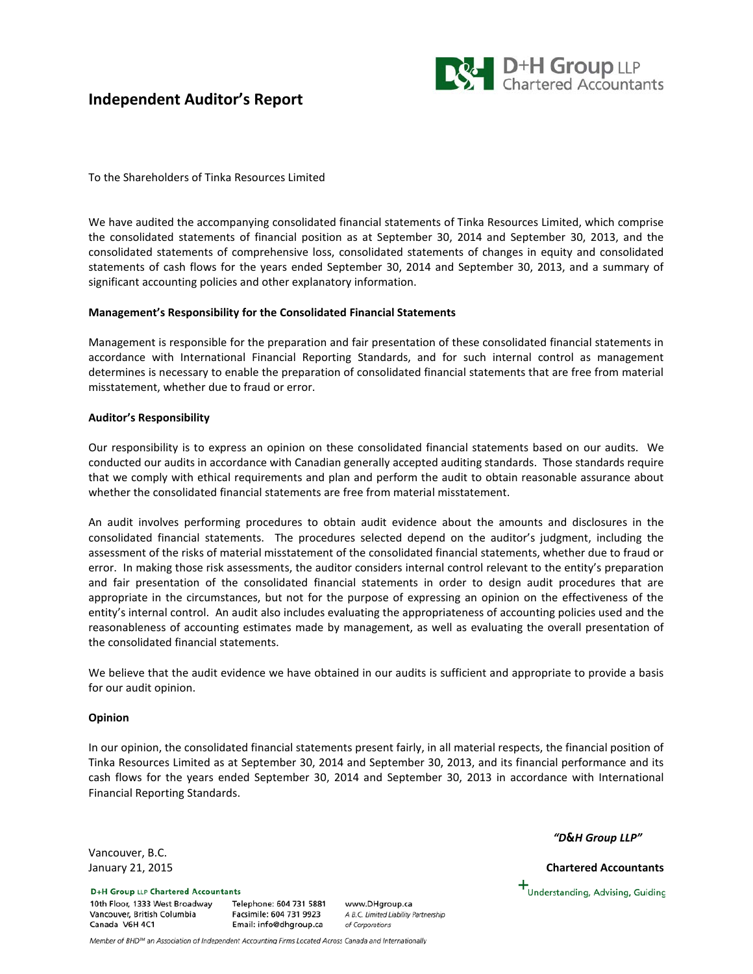# **Independent Auditor's Report**



To the Shareholders of Tinka Resources Limited

We have audited the accompanying consolidated financial statements of Tinka Resources Limited, which comprise the consolidated statements of financial position as at September 30, 2014 and September 30, 2013, and the consolidated statements of comprehensive loss, consolidated statements of changes in equity and consolidated statements of cash flows for the years ended September 30, 2014 and September 30, 2013, and a summary of significant accounting policies and other explanatory information.

## **Management's Responsibility for the Consolidated Financial Statements**

Management is responsible for the preparation and fair presentation of these consolidated financial statements in accordance with International Financial Reporting Standards, and for such internal control as management determines is necessary to enable the preparation of consolidated financial statements that are free from material misstatement, whether due to fraud or error.

## **Auditor's Responsibility**

Our responsibility is to express an opinion on these consolidated financial statements based on our audits. We conducted our audits in accordance with Canadian generally accepted auditing standards. Those standards require that we comply with ethical requirements and plan and perform the audit to obtain reasonable assurance about whether the consolidated financial statements are free from material misstatement.

An audit involves performing procedures to obtain audit evidence about the amounts and disclosures in the consolidated financial statements. The procedures selected depend on the auditor's judgment, including the assessment of the risks of material misstatement of the consolidated financial statements, whether due to fraud or error. In making those risk assessments, the auditor considers internal control relevant to the entity's preparation and fair presentation of the consolidated financial statements in order to design audit procedures that are appropriate in the circumstances, but not for the purpose of expressing an opinion on the effectiveness of the entity's internal control. An audit also includes evaluating the appropriateness of accounting policies used and the reasonableness of accounting estimates made by management, as well as evaluating the overall presentation of the consolidated financial statements.

We believe that the audit evidence we have obtained in our audits is sufficient and appropriate to provide a basis for our audit opinion.

## **Opinion**

In our opinion, the consolidated financial statements present fairly, in all material respects, the financial position of Tinka Resources Limited as at September 30, 2014 and September 30, 2013, and its financial performance and its cash flows for the years ended September 30, 2014 and September 30, 2013 in accordance with International Financial Reporting Standards.

Vancouver, B.C.

**D+H Group LLP Chartered Accountants** 10th Floor, 1333 West Broadway Vancouver, British Columbia Canada V6H 4C1

Telephone: 604 731 5881 Facsimile: 604 731 9923 Email: info@dhgroup.ca

www.DHgroup.ca A B.C. Limited Liability Partnership of Corporations

*"D&H Group LLP"*

January 21, 2015 **Chartered Accountants**

+<br>Understanding, Advising, Guiding

Member of BHD™ an Association of Independent Accounting Firms Located Across Canada and Internationally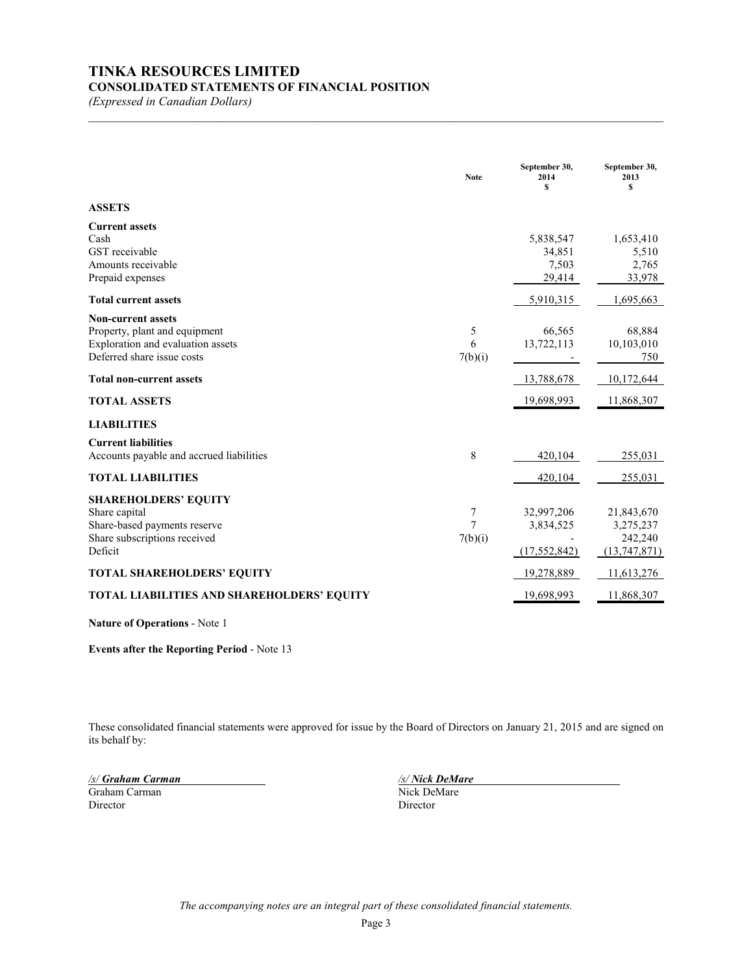# **TINKA RESOURCES LIMITED**

# **CONSOLIDATED STATEMENTS OF FINANCIAL POSITION**

*(Expressed in Canadian Dollars)*

|                                                                                                                               | <b>Note</b>       | September 30,<br>2014<br>\$               | September 30,<br>2013<br>s                         |
|-------------------------------------------------------------------------------------------------------------------------------|-------------------|-------------------------------------------|----------------------------------------------------|
| <b>ASSETS</b>                                                                                                                 |                   |                                           |                                                    |
| <b>Current assets</b><br>Cash<br>GST receivable<br>Amounts receivable<br>Prepaid expenses                                     |                   | 5,838,547<br>34,851<br>7,503<br>29,414    | 1,653,410<br>5,510<br>2,765<br>33,978              |
| <b>Total current assets</b>                                                                                                   |                   | 5,910,315                                 | 1,695,663                                          |
| <b>Non-current assets</b><br>Property, plant and equipment<br>Exploration and evaluation assets<br>Deferred share issue costs | 5<br>6<br>7(b)(i) | 66,565<br>13,722,113                      | 68,884<br>10,103,010<br>750                        |
| <b>Total non-current assets</b>                                                                                               |                   | 13,788,678                                | 10,172,644                                         |
| <b>TOTAL ASSETS</b>                                                                                                           |                   | 19,698,993                                | 11,868,307                                         |
| <b>LIABILITIES</b>                                                                                                            |                   |                                           |                                                    |
| <b>Current liabilities</b><br>Accounts payable and accrued liabilities                                                        | 8                 | 420,104                                   | 255,031                                            |
| <b>TOTAL LIABILITIES</b>                                                                                                      |                   | 420,104                                   | 255,031                                            |
| <b>SHAREHOLDERS' EQUITY</b><br>Share capital<br>Share-based payments reserve<br>Share subscriptions received<br>Deficit       | 7<br>7<br>7(b)(i) | 32,997,206<br>3,834,525<br>(17, 552, 842) | 21,843,670<br>3,275,237<br>242,240<br>(13,747,871) |
| <b>TOTAL SHAREHOLDERS' EQUITY</b>                                                                                             |                   | 19,278,889                                | 11,613,276                                         |
| TOTAL LIABILITIES AND SHAREHOLDERS' EQUITY                                                                                    |                   | 19,698,993                                | 11,868,307                                         |

 $\mathcal{L}_\mathcal{L} = \{ \mathcal{L}_\mathcal{L} = \{ \mathcal{L}_\mathcal{L} = \{ \mathcal{L}_\mathcal{L} = \{ \mathcal{L}_\mathcal{L} = \{ \mathcal{L}_\mathcal{L} = \{ \mathcal{L}_\mathcal{L} = \{ \mathcal{L}_\mathcal{L} = \{ \mathcal{L}_\mathcal{L} = \{ \mathcal{L}_\mathcal{L} = \{ \mathcal{L}_\mathcal{L} = \{ \mathcal{L}_\mathcal{L} = \{ \mathcal{L}_\mathcal{L} = \{ \mathcal{L}_\mathcal{L} = \{ \mathcal{L}_\mathcal{$ 

**Nature of Operations** - Note 1

**Events after the Reporting Period** - Note 13

These consolidated financial statements were approved for issue by the Board of Directors on January 21, 2015 and are signed on its behalf by:

*/s/ Graham Carman /s/ Nick DeMare* Graham Carman Director Director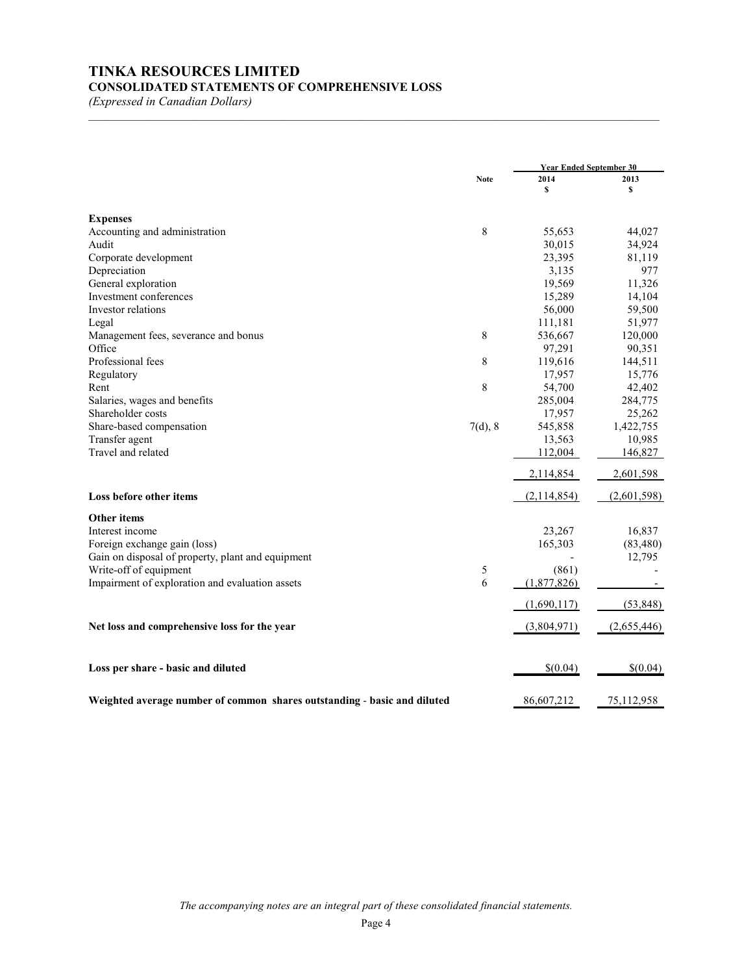# **TINKA RESOURCES LIMITED CONSOLIDATED STATEMENTS OF COMPREHENSIVE LOSS**

*(Expressed in Canadian Dollars)*

|                                                                          | <b>Note</b> | <b>Year Ended September 30</b> |             |  |
|--------------------------------------------------------------------------|-------------|--------------------------------|-------------|--|
|                                                                          |             | 2014                           | 2013        |  |
|                                                                          |             | \$                             | S           |  |
| <b>Expenses</b>                                                          |             |                                |             |  |
| Accounting and administration                                            | 8           | 55,653                         | 44,027      |  |
| Audit                                                                    |             | 30,015                         | 34,924      |  |
| Corporate development                                                    |             | 23,395                         | 81,119      |  |
| Depreciation                                                             |             | 3,135                          | 977         |  |
| General exploration                                                      |             | 19,569                         | 11,326      |  |
| Investment conferences                                                   |             | 15,289                         | 14,104      |  |
| Investor relations                                                       |             | 56,000                         | 59,500      |  |
| Legal                                                                    |             | 111,181                        | 51,977      |  |
| Management fees, severance and bonus                                     | 8           | 536,667                        | 120,000     |  |
| Office                                                                   |             | 97,291                         | 90,351      |  |
| Professional fees                                                        | 8           | 119,616                        | 144,511     |  |
| Regulatory                                                               |             | 17,957                         | 15,776      |  |
| Rent                                                                     | 8           | 54,700                         | 42,402      |  |
| Salaries, wages and benefits                                             |             | 285,004                        | 284,775     |  |
| Shareholder costs                                                        |             | 17,957                         | 25,262      |  |
| Share-based compensation                                                 | 7(d), 8     | 545,858                        | 1,422,755   |  |
| Transfer agent                                                           |             | 13,563                         | 10,985      |  |
| Travel and related                                                       |             | 112,004                        | 146,827     |  |
|                                                                          |             | 2,114,854                      | 2,601,598   |  |
| Loss before other items                                                  |             | (2,114,854)                    | (2,601,598) |  |
| <b>Other items</b>                                                       |             |                                |             |  |
| Interest income                                                          |             | 23,267                         | 16,837      |  |
| Foreign exchange gain (loss)                                             |             | 165,303                        | (83, 480)   |  |
| Gain on disposal of property, plant and equipment                        |             |                                | 12,795      |  |
| Write-off of equipment                                                   | 5           | (861)                          |             |  |
| Impairment of exploration and evaluation assets                          | 6           | (1,877,826)                    |             |  |
|                                                                          |             | (1,690,117)                    | (53, 848)   |  |
| Net loss and comprehensive loss for the year                             |             | (3,804,971)                    | (2,655,446) |  |
| Loss per share - basic and diluted                                       |             | \$(0.04)                       | \$(0.04)    |  |
| Weighted average number of common shares outstanding - basic and diluted |             | 86,607,212                     | 75,112,958  |  |

 $\mathcal{L}_\text{max} = \mathcal{L}_\text{max} = \mathcal{L}_\text{max} = \mathcal{L}_\text{max} = \mathcal{L}_\text{max} = \mathcal{L}_\text{max} = \mathcal{L}_\text{max} = \mathcal{L}_\text{max} = \mathcal{L}_\text{max} = \mathcal{L}_\text{max} = \mathcal{L}_\text{max} = \mathcal{L}_\text{max} = \mathcal{L}_\text{max} = \mathcal{L}_\text{max} = \mathcal{L}_\text{max} = \mathcal{L}_\text{max} = \mathcal{L}_\text{max} = \mathcal{L}_\text{max} = \mathcal{$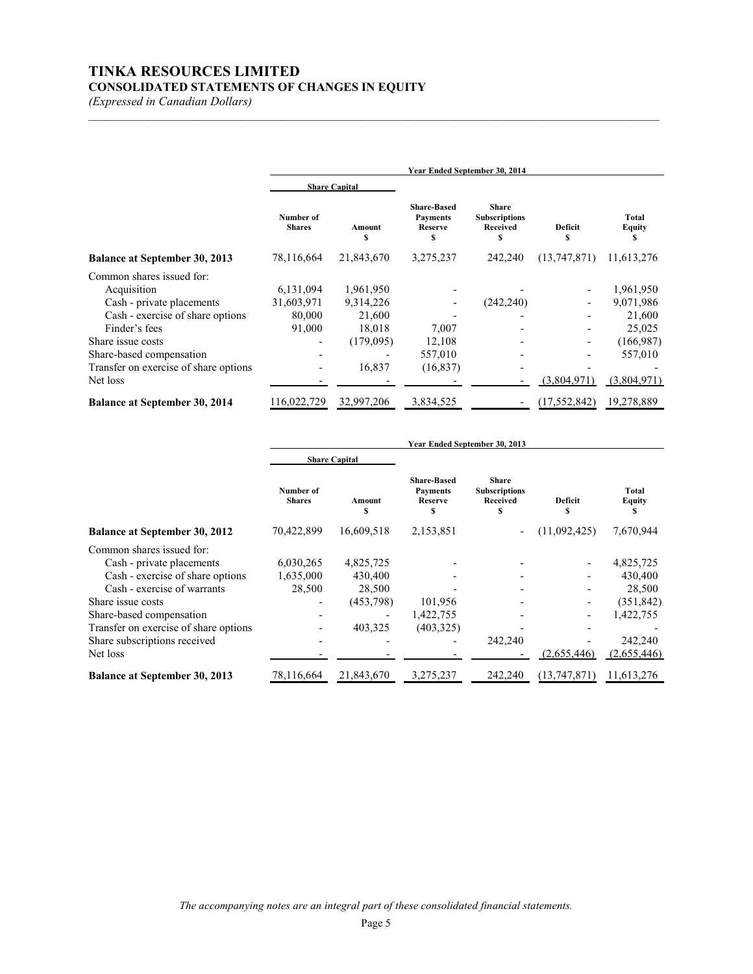# **TINKA RESOURCES LIMITED CONSOLIDATED STATEMENTS OF CHANGES IN EQUITY**

*(Expressed in Canadian Dollars)*

|                                       | Year Ended September 30, 2014 |                      |                                                              |                                                       |                |                      |
|---------------------------------------|-------------------------------|----------------------|--------------------------------------------------------------|-------------------------------------------------------|----------------|----------------------|
|                                       |                               | <b>Share Capital</b> |                                                              |                                                       |                |                      |
|                                       | Number of<br><b>Shares</b>    | Amount<br>S          | <b>Share-Based</b><br><b>Payments</b><br><b>Reserve</b><br>s | <b>Share</b><br><b>Subscriptions</b><br>Received<br>S | Deficit<br>s   | Total<br>Equity<br>S |
| <b>Balance at September 30, 2013</b>  | 78,116,664                    | 21,843,670           | 3,275,237                                                    | 242,240                                               | (13,747,871)   | 11,613,276           |
| Common shares issued for:             |                               |                      |                                                              |                                                       |                |                      |
| Acquisition                           | 6,131,094                     | 1,961,950            |                                                              |                                                       |                | 1,961,950            |
| Cash - private placements             | 31,603,971                    | 9,314,226            |                                                              | (242, 240)                                            |                | 9,071,986            |
| Cash - exercise of share options      | 80,000                        | 21,600               |                                                              |                                                       |                | 21,600               |
| Finder's fees                         | 91,000                        | 18,018               | 7,007                                                        |                                                       |                | 25,025               |
| Share issue costs                     |                               | (179,095)            | 12,108                                                       |                                                       |                | (166,987)            |
| Share-based compensation              |                               |                      | 557,010                                                      |                                                       |                | 557,010              |
| Transfer on exercise of share options |                               | 16,837               | (16, 837)                                                    |                                                       |                |                      |
| Net loss                              |                               |                      |                                                              |                                                       | (3,804,971)    | (3,804,971)          |
| <b>Balance at September 30, 2014</b>  | 116,022,729                   | 32,997,206           | 3,834,525                                                    |                                                       | (17, 552, 842) | 19,278,889           |

 $\mathcal{L}_\text{max} = \mathcal{L}_\text{max} = \mathcal{L}_\text{max} = \mathcal{L}_\text{max} = \mathcal{L}_\text{max} = \mathcal{L}_\text{max} = \mathcal{L}_\text{max} = \mathcal{L}_\text{max} = \mathcal{L}_\text{max} = \mathcal{L}_\text{max} = \mathcal{L}_\text{max} = \mathcal{L}_\text{max} = \mathcal{L}_\text{max} = \mathcal{L}_\text{max} = \mathcal{L}_\text{max} = \mathcal{L}_\text{max} = \mathcal{L}_\text{max} = \mathcal{L}_\text{max} = \mathcal{$ 

|                                       | Year Ended September 30, 2013 |                      |                                                               |                                                        |                     |                               |
|---------------------------------------|-------------------------------|----------------------|---------------------------------------------------------------|--------------------------------------------------------|---------------------|-------------------------------|
|                                       |                               | <b>Share Capital</b> |                                                               |                                                        |                     |                               |
|                                       | Number of<br><b>Shares</b>    | Amount<br>S          | <b>Share-Based</b><br><b>Payments</b><br><b>Reserve</b><br>\$ | <b>Share</b><br><b>Subscriptions</b><br>Received<br>\$ | <b>Deficit</b><br>S | <b>Total</b><br><b>Equity</b> |
| <b>Balance at September 30, 2012</b>  | 70,422,899                    | 16,609,518           | 2,153,851                                                     |                                                        | (11,092,425)        | 7,670,944                     |
| Common shares issued for:             |                               |                      |                                                               |                                                        |                     |                               |
| Cash - private placements             | 6,030,265                     | 4,825,725            |                                                               |                                                        |                     | 4,825,725                     |
| Cash - exercise of share options      | 1,635,000                     | 430,400              |                                                               |                                                        |                     | 430,400                       |
| Cash - exercise of warrants           | 28,500                        | 28,500               |                                                               |                                                        |                     | 28,500                        |
| Share issue costs                     |                               | (453,798)            | 101,956                                                       |                                                        |                     | (351, 842)                    |
| Share-based compensation              |                               |                      | 1,422,755                                                     |                                                        |                     | 1,422,755                     |
| Transfer on exercise of share options |                               | 403,325              | (403, 325)                                                    |                                                        |                     |                               |
| Share subscriptions received          |                               |                      |                                                               | 242,240                                                |                     | 242,240                       |
| Net loss                              |                               |                      |                                                               |                                                        | (2,655,446)         | (2,655,446)                   |
| <b>Balance at September 30, 2013</b>  | 78,116,664                    | 21,843,670           | 3,275,237                                                     | 242,240                                                | (13, 747, 871)      | 11,613,276                    |

*The accompanying notes are an integral part of these consolidated financial statements.*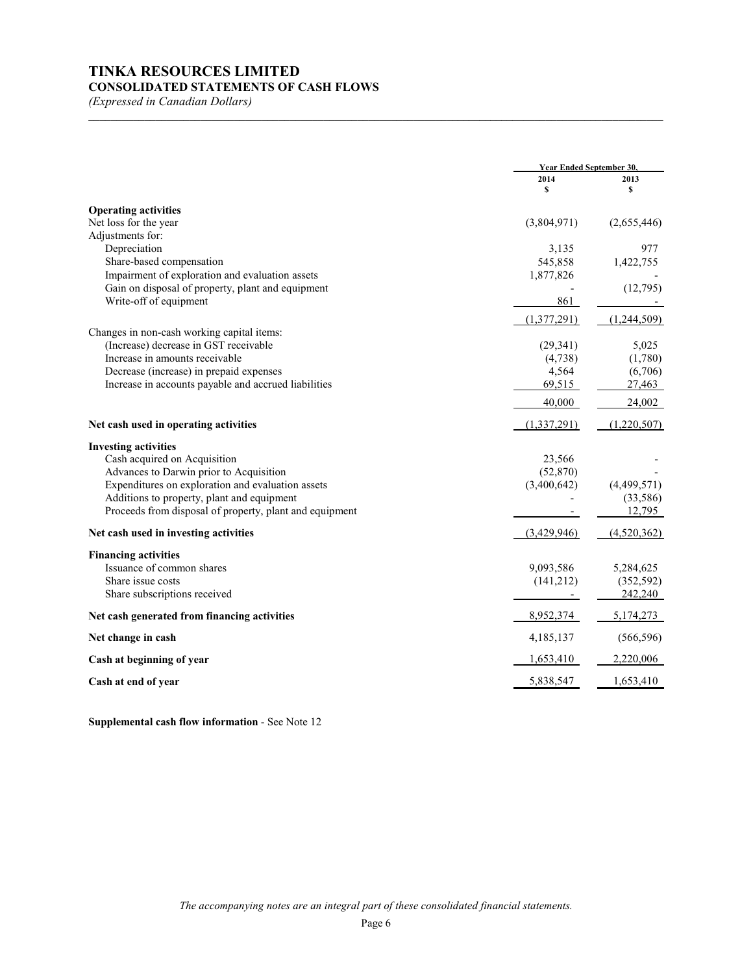# **TINKA RESOURCES LIMITED CONSOLIDATED STATEMENTS OF CASH FLOWS**

*(Expressed in Canadian Dollars)*

|                                                         | <b>Year Ended September 30.</b> |             |
|---------------------------------------------------------|---------------------------------|-------------|
|                                                         | 2014<br>\$                      | 2013<br>s   |
| <b>Operating activities</b>                             |                                 |             |
| Net loss for the year                                   | (3,804,971)                     | (2,655,446) |
| Adjustments for:                                        |                                 |             |
| Depreciation                                            | 3,135                           | 977         |
| Share-based compensation                                | 545,858                         | 1,422,755   |
| Impairment of exploration and evaluation assets         | 1,877,826                       |             |
| Gain on disposal of property, plant and equipment       |                                 | (12,795)    |
| Write-off of equipment                                  | 861                             |             |
|                                                         | (1,377,291)                     | (1,244,509) |
| Changes in non-cash working capital items:              |                                 |             |
| (Increase) decrease in GST receivable                   | (29, 341)                       | 5,025       |
| Increase in amounts receivable                          | (4,738)                         | (1,780)     |
| Decrease (increase) in prepaid expenses                 | 4,564                           | (6,706)     |
| Increase in accounts payable and accrued liabilities    | 69,515                          | 27,463      |
|                                                         | 40,000                          | 24,002      |
| Net cash used in operating activities                   | (1,337,291)                     | (1,220,507) |
| <b>Investing activities</b>                             |                                 |             |
| Cash acquired on Acquisition                            | 23,566                          |             |
| Advances to Darwin prior to Acquisition                 | (52, 870)                       |             |
| Expenditures on exploration and evaluation assets       | (3,400,642)                     | (4,499,571) |
| Additions to property, plant and equipment              |                                 | (33, 586)   |
| Proceeds from disposal of property, plant and equipment |                                 | 12,795      |
| Net cash used in investing activities                   | (3,429,946)                     | (4,520,362) |
| <b>Financing activities</b>                             |                                 |             |
| Issuance of common shares                               | 9,093,586                       | 5,284,625   |
| Share issue costs                                       | (141,212)                       | (352, 592)  |
| Share subscriptions received                            |                                 | 242,240     |
| Net cash generated from financing activities            | 8,952,374                       | 5,174,273   |
| Net change in cash                                      | 4,185,137                       | (566, 596)  |
| Cash at beginning of year                               | 1,653,410                       | 2,220,006   |
| Cash at end of year                                     | 5,838,547                       | 1,653,410   |

\_\_\_\_\_\_\_\_\_\_\_\_\_\_\_\_\_\_\_\_\_\_\_\_\_\_\_\_\_\_\_\_\_\_\_\_\_\_\_\_\_\_\_\_\_\_\_\_\_\_\_\_\_\_\_\_\_\_\_\_\_\_\_\_\_\_\_\_\_\_\_\_\_\_\_\_\_\_\_\_\_\_\_\_\_\_\_\_\_\_\_\_\_\_\_\_\_\_\_\_\_\_\_

**Supplemental cash flow information** - See Note 12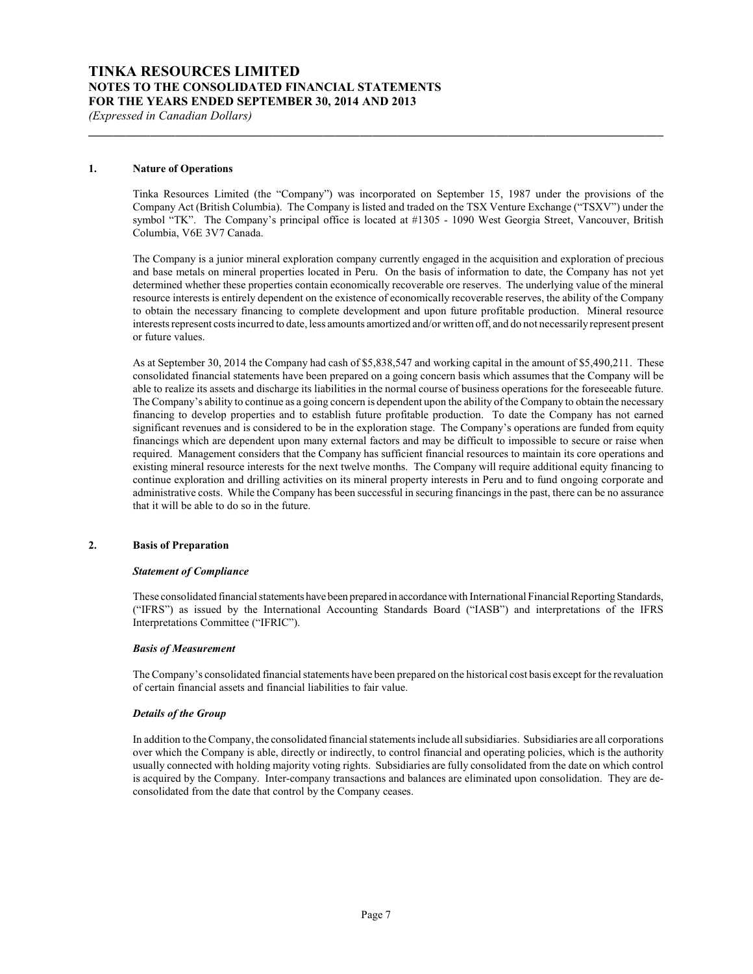#### **1. Nature of Operations**

Tinka Resources Limited (the "Company") was incorporated on September 15, 1987 under the provisions of the Company Act (British Columbia). The Company is listed and traded on the TSX Venture Exchange ("TSXV") under the symbol "TK". The Company's principal office is located at #1305 - 1090 West Georgia Street, Vancouver, British Columbia, V6E 3V7 Canada.

**\_\_\_\_\_\_\_\_\_\_\_\_\_\_\_\_\_\_\_\_\_\_\_\_\_\_\_\_\_\_\_\_\_\_\_\_\_\_\_\_\_\_\_\_\_\_\_\_\_\_\_\_\_\_\_\_\_\_\_\_\_\_\_\_\_\_\_\_\_\_\_\_\_\_\_\_\_\_\_\_\_\_\_\_\_\_\_\_\_\_\_\_\_**

The Company is a junior mineral exploration company currently engaged in the acquisition and exploration of precious and base metals on mineral properties located in Peru. On the basis of information to date, the Company has not yet determined whether these properties contain economically recoverable ore reserves. The underlying value of the mineral resource interests is entirely dependent on the existence of economically recoverable reserves, the ability of the Company to obtain the necessary financing to complete development and upon future profitable production. Mineral resource interests represent costs incurred to date, less amounts amortized and/or written off, and do not necessarily represent present or future values.

As at September 30, 2014 the Company had cash of \$5,838,547 and working capital in the amount of \$5,490,211. These consolidated financial statements have been prepared on a going concern basis which assumes that the Company will be able to realize its assets and discharge its liabilities in the normal course of business operations for the foreseeable future. The Company's ability to continue as a going concern is dependent upon the ability of the Company to obtain the necessary financing to develop properties and to establish future profitable production. To date the Company has not earned significant revenues and is considered to be in the exploration stage. The Company's operations are funded from equity financings which are dependent upon many external factors and may be difficult to impossible to secure or raise when required. Management considers that the Company has sufficient financial resources to maintain its core operations and existing mineral resource interests for the next twelve months. The Company will require additional equity financing to continue exploration and drilling activities on its mineral property interests in Peru and to fund ongoing corporate and administrative costs. While the Company has been successful in securing financings in the past, there can be no assurance that it will be able to do so in the future.

#### **2. Basis of Preparation**

#### *Statement of Compliance*

These consolidated financial statements have been prepared in accordancewith International Financial Reporting Standards, ("IFRS") as issued by the International Accounting Standards Board ("IASB") and interpretations of the IFRS Interpretations Committee ("IFRIC").

#### *Basis of Measurement*

The Company's consolidated financial statements have been prepared on the historical cost basis except for the revaluation of certain financial assets and financial liabilities to fair value.

#### *Details of the Group*

In addition to the Company, the consolidated financial statements include all subsidiaries. Subsidiaries are all corporations over which the Company is able, directly or indirectly, to control financial and operating policies, which is the authority usually connected with holding majority voting rights. Subsidiaries are fully consolidated from the date on which control is acquired by the Company. Inter-company transactions and balances are eliminated upon consolidation. They are deconsolidated from the date that control by the Company ceases.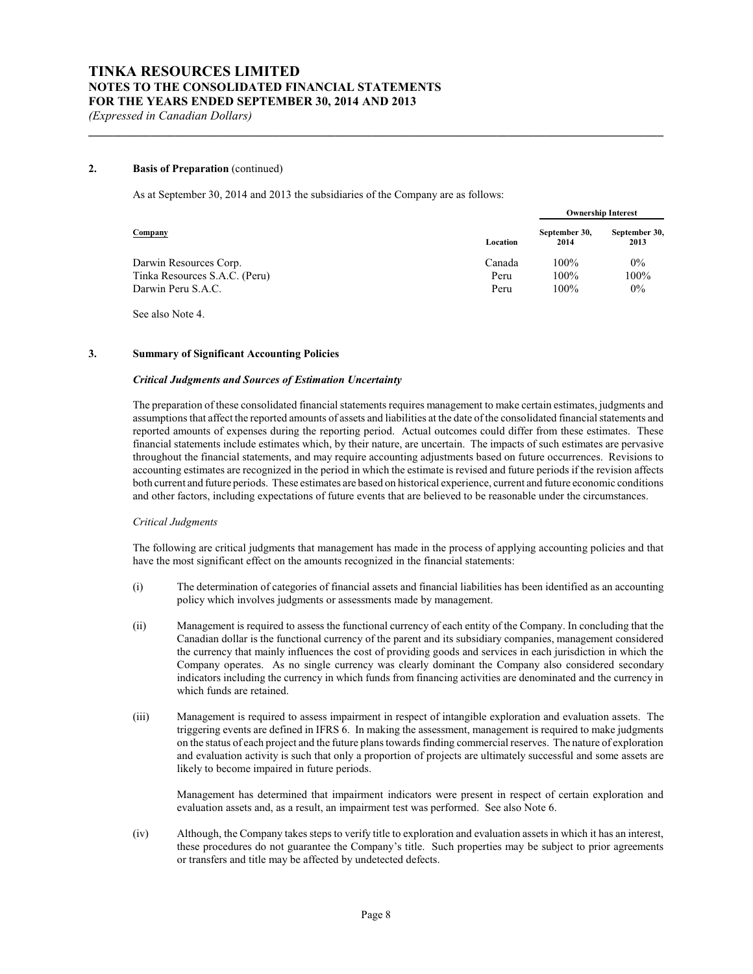### **2. Basis of Preparation** (continued)

As at September 30, 2014 and 2013 the subsidiaries of the Company are as follows:

|                               |          |                       | <b>Ownership Interest</b> |
|-------------------------------|----------|-----------------------|---------------------------|
| Company                       | Location | September 30,<br>2014 | September 30,<br>2013     |
| Darwin Resources Corp.        | Canada   | $100\%$               | $0\%$                     |
| Tinka Resources S.A.C. (Peru) | Peru     | $100\%$               | 100%                      |
| Darwin Peru S.A.C.            | Peru     | $100\%$               | $0\%$                     |

**\_\_\_\_\_\_\_\_\_\_\_\_\_\_\_\_\_\_\_\_\_\_\_\_\_\_\_\_\_\_\_\_\_\_\_\_\_\_\_\_\_\_\_\_\_\_\_\_\_\_\_\_\_\_\_\_\_\_\_\_\_\_\_\_\_\_\_\_\_\_\_\_\_\_\_\_\_\_\_\_\_\_\_\_\_\_\_\_\_\_\_\_\_**

See also Note 4.

#### **3. Summary of Significant Accounting Policies**

#### *Critical Judgments and Sources of Estimation Uncertainty*

The preparation of these consolidated financial statements requires management to make certain estimates, judgments and assumptions that affect the reported amounts of assets and liabilities at the date of the consolidated financial statements and reported amounts of expenses during the reporting period. Actual outcomes could differ from these estimates. These financial statements include estimates which, by their nature, are uncertain. The impacts of such estimates are pervasive throughout the financial statements, and may require accounting adjustments based on future occurrences. Revisions to accounting estimates are recognized in the period in which the estimate is revised and future periods if the revision affects both current and future periods. These estimates are based on historical experience, current and future economic conditions and other factors, including expectations of future events that are believed to be reasonable under the circumstances.

#### *Critical Judgments*

The following are critical judgments that management has made in the process of applying accounting policies and that have the most significant effect on the amounts recognized in the financial statements:

- (i) The determination of categories of financial assets and financial liabilities has been identified as an accounting policy which involves judgments or assessments made by management.
- (ii) Management is required to assess the functional currency of each entity of the Company. In concluding that the Canadian dollar is the functional currency of the parent and its subsidiary companies, management considered the currency that mainly influences the cost of providing goods and services in each jurisdiction in which the Company operates. As no single currency was clearly dominant the Company also considered secondary indicators including the currency in which funds from financing activities are denominated and the currency in which funds are retained.
- (iii) Management is required to assess impairment in respect of intangible exploration and evaluation assets. The triggering events are defined in IFRS 6. In making the assessment, management is required to make judgments on the status of each project and the future plans towards finding commercial reserves. The nature of exploration and evaluation activity is such that only a proportion of projects are ultimately successful and some assets are likely to become impaired in future periods.

Management has determined that impairment indicators were present in respect of certain exploration and evaluation assets and, as a result, an impairment test was performed. See also Note 6.

(iv) Although, the Company takes steps to verify title to exploration and evaluation assets in which it has an interest, these procedures do not guarantee the Company's title. Such properties may be subject to prior agreements or transfers and title may be affected by undetected defects.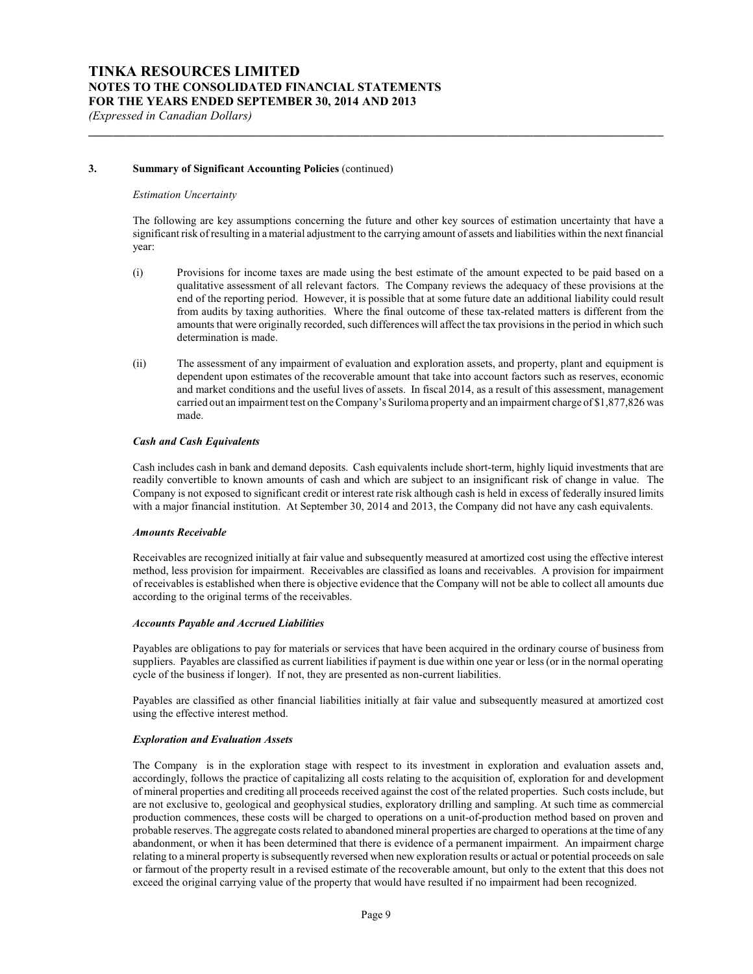#### **3. Summary of Significant Accounting Policies** (continued)

#### *Estimation Uncertainty*

The following are key assumptions concerning the future and other key sources of estimation uncertainty that have a significant risk of resulting in a material adjustment to the carrying amount of assets and liabilities within the next financial year:

**\_\_\_\_\_\_\_\_\_\_\_\_\_\_\_\_\_\_\_\_\_\_\_\_\_\_\_\_\_\_\_\_\_\_\_\_\_\_\_\_\_\_\_\_\_\_\_\_\_\_\_\_\_\_\_\_\_\_\_\_\_\_\_\_\_\_\_\_\_\_\_\_\_\_\_\_\_\_\_\_\_\_\_\_\_\_\_\_\_\_\_\_\_**

- (i) Provisions for income taxes are made using the best estimate of the amount expected to be paid based on a qualitative assessment of all relevant factors. The Company reviews the adequacy of these provisions at the end of the reporting period. However, it is possible that at some future date an additional liability could result from audits by taxing authorities. Where the final outcome of these tax-related matters is different from the amounts that were originally recorded, such differences will affect the tax provisions in the period in which such determination is made.
- (ii) The assessment of any impairment of evaluation and exploration assets, and property, plant and equipment is dependent upon estimates of the recoverable amount that take into account factors such as reserves, economic and market conditions and the useful lives of assets. In fiscal 2014, as a result of this assessment, management carried out an impairment test on the Company's Suriloma property and an impairment charge of \$1,877,826 was made.

#### *Cash and Cash Equivalents*

Cash includes cash in bank and demand deposits. Cash equivalents include short-term, highly liquid investments that are readily convertible to known amounts of cash and which are subject to an insignificant risk of change in value. The Company is not exposed to significant credit or interest rate risk although cash is held in excess of federally insured limits with a major financial institution. At September 30, 2014 and 2013, the Company did not have any cash equivalents.

#### *Amounts Receivable*

Receivables are recognized initially at fair value and subsequently measured at amortized cost using the effective interest method, less provision for impairment. Receivables are classified as loans and receivables. A provision for impairment of receivables is established when there is objective evidence that the Company will not be able to collect all amounts due according to the original terms of the receivables.

#### *Accounts Payable and Accrued Liabilities*

Payables are obligations to pay for materials or services that have been acquired in the ordinary course of business from suppliers. Payables are classified as current liabilities if payment is due within one year or less (or in the normal operating cycle of the business if longer). If not, they are presented as non-current liabilities.

Payables are classified as other financial liabilities initially at fair value and subsequently measured at amortized cost using the effective interest method.

#### *Exploration and Evaluation Assets*

The Company is in the exploration stage with respect to its investment in exploration and evaluation assets and, accordingly, follows the practice of capitalizing all costs relating to the acquisition of, exploration for and development of mineral properties and crediting all proceeds received against the cost of the related properties. Such costs include, but are not exclusive to, geological and geophysical studies, exploratory drilling and sampling. At such time as commercial production commences, these costs will be charged to operations on a unit-of-production method based on proven and probable reserves. The aggregate costs related to abandoned mineral properties are charged to operations at the time of any abandonment, or when it has been determined that there is evidence of a permanent impairment. An impairment charge relating to a mineral property is subsequently reversed when new exploration results or actual or potential proceeds on sale or farmout of the property result in a revised estimate of the recoverable amount, but only to the extent that this does not exceed the original carrying value of the property that would have resulted if no impairment had been recognized.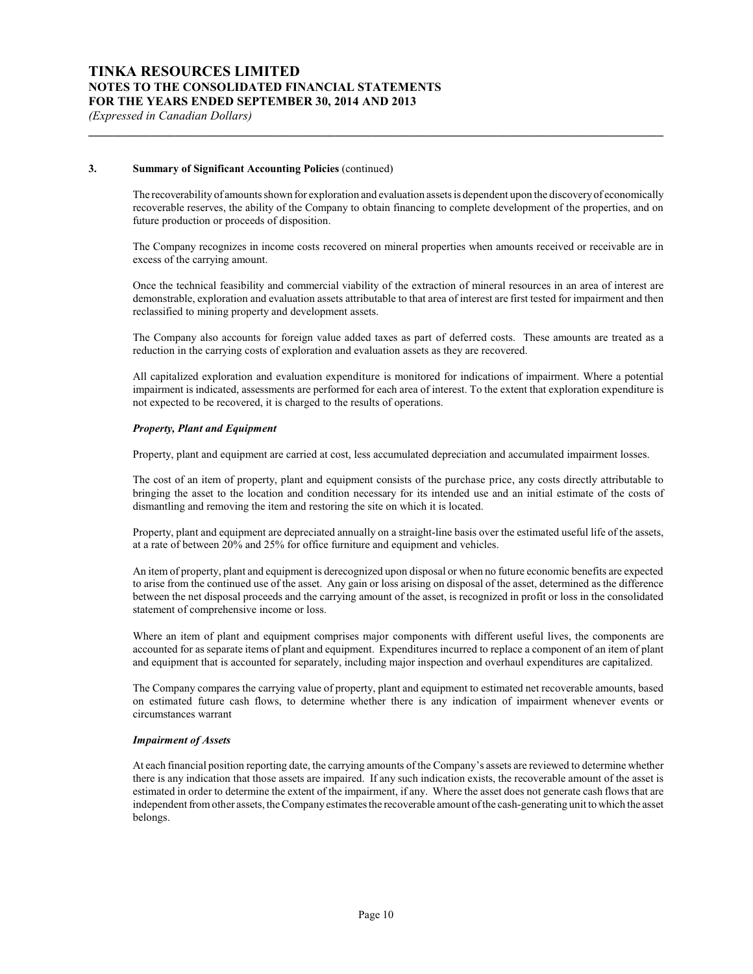### **3. Summary of Significant Accounting Policies** (continued)

The recoverability of amounts shown for exploration and evaluation assets is dependent upon the discoveryof economically recoverable reserves, the ability of the Company to obtain financing to complete development of the properties, and on future production or proceeds of disposition.

**\_\_\_\_\_\_\_\_\_\_\_\_\_\_\_\_\_\_\_\_\_\_\_\_\_\_\_\_\_\_\_\_\_\_\_\_\_\_\_\_\_\_\_\_\_\_\_\_\_\_\_\_\_\_\_\_\_\_\_\_\_\_\_\_\_\_\_\_\_\_\_\_\_\_\_\_\_\_\_\_\_\_\_\_\_\_\_\_\_\_\_\_\_**

The Company recognizes in income costs recovered on mineral properties when amounts received or receivable are in excess of the carrying amount.

Once the technical feasibility and commercial viability of the extraction of mineral resources in an area of interest are demonstrable, exploration and evaluation assets attributable to that area of interest are first tested for impairment and then reclassified to mining property and development assets.

The Company also accounts for foreign value added taxes as part of deferred costs. These amounts are treated as a reduction in the carrying costs of exploration and evaluation assets as they are recovered.

All capitalized exploration and evaluation expenditure is monitored for indications of impairment. Where a potential impairment is indicated, assessments are performed for each area of interest. To the extent that exploration expenditure is not expected to be recovered, it is charged to the results of operations.

#### *Property, Plant and Equipment*

Property, plant and equipment are carried at cost, less accumulated depreciation and accumulated impairment losses.

The cost of an item of property, plant and equipment consists of the purchase price, any costs directly attributable to bringing the asset to the location and condition necessary for its intended use and an initial estimate of the costs of dismantling and removing the item and restoring the site on which it is located.

Property, plant and equipment are depreciated annually on a straight-line basis over the estimated useful life of the assets, at a rate of between 20% and 25% for office furniture and equipment and vehicles.

An item of property, plant and equipment is derecognized upon disposal or when no future economic benefits are expected to arise from the continued use of the asset. Any gain or loss arising on disposal of the asset, determined as the difference between the net disposal proceeds and the carrying amount of the asset, is recognized in profit or loss in the consolidated statement of comprehensive income or loss.

Where an item of plant and equipment comprises major components with different useful lives, the components are accounted for as separate items of plant and equipment. Expenditures incurred to replace a component of an item of plant and equipment that is accounted for separately, including major inspection and overhaul expenditures are capitalized.

The Company compares the carrying value of property, plant and equipment to estimated net recoverable amounts, based on estimated future cash flows, to determine whether there is any indication of impairment whenever events or circumstances warrant

#### *Impairment of Assets*

At each financial position reporting date, the carrying amounts of the Company's assets are reviewed to determine whether there is any indication that those assets are impaired. If any such indication exists, the recoverable amount of the asset is estimated in order to determine the extent of the impairment, if any. Where the asset does not generate cash flows that are independent from other assets, the Company estimates the recoverable amount of the cash-generating unit to which the asset belongs.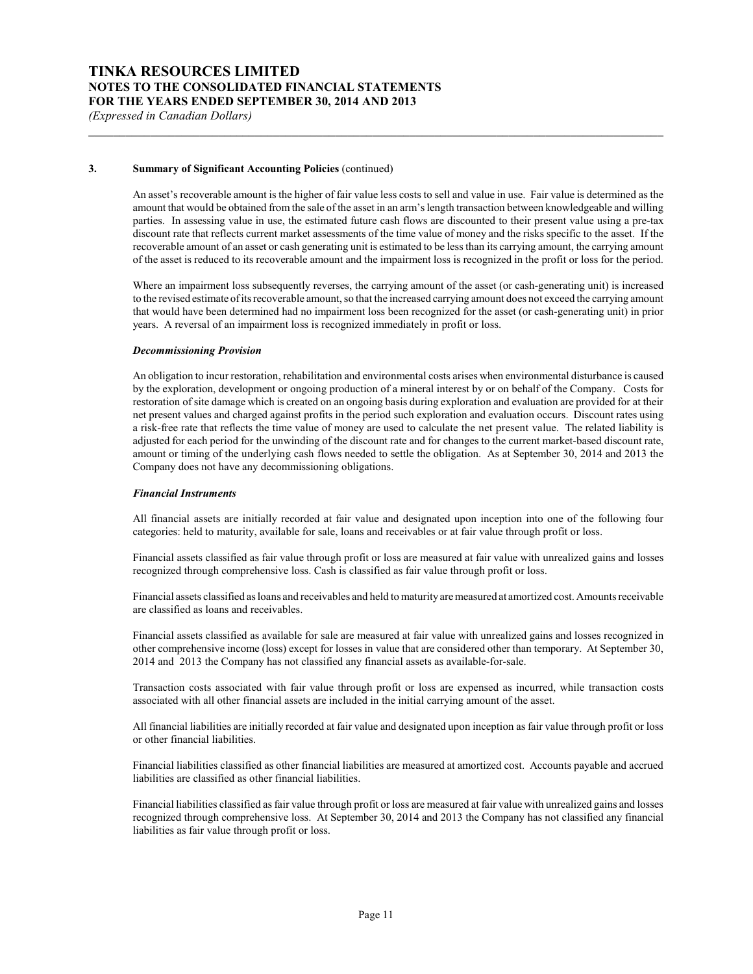### **3. Summary of Significant Accounting Policies** (continued)

An asset's recoverable amount is the higher of fair value less costs to sell and value in use. Fair value is determined as the amount that would be obtained from the sale of the asset in an arm's length transaction between knowledgeable and willing parties. In assessing value in use, the estimated future cash flows are discounted to their present value using a pre-tax discount rate that reflects current market assessments of the time value of money and the risks specific to the asset. If the recoverable amount of an asset or cash generating unit is estimated to be less than its carrying amount, the carrying amount of the asset is reduced to its recoverable amount and the impairment loss is recognized in the profit or loss for the period.

**\_\_\_\_\_\_\_\_\_\_\_\_\_\_\_\_\_\_\_\_\_\_\_\_\_\_\_\_\_\_\_\_\_\_\_\_\_\_\_\_\_\_\_\_\_\_\_\_\_\_\_\_\_\_\_\_\_\_\_\_\_\_\_\_\_\_\_\_\_\_\_\_\_\_\_\_\_\_\_\_\_\_\_\_\_\_\_\_\_\_\_\_\_**

Where an impairment loss subsequently reverses, the carrying amount of the asset (or cash-generating unit) is increased to the revised estimate of its recoverable amount, so that the increased carrying amount does not exceed the carrying amount that would have been determined had no impairment loss been recognized for the asset (or cash-generating unit) in prior years. A reversal of an impairment loss is recognized immediately in profit or loss.

#### *Decommissioning Provision*

An obligation to incur restoration, rehabilitation and environmental costs arises when environmental disturbance is caused by the exploration, development or ongoing production of a mineral interest by or on behalf of the Company. Costs for restoration of site damage which is created on an ongoing basis during exploration and evaluation are provided for at their net present values and charged against profits in the period such exploration and evaluation occurs. Discount rates using a risk-free rate that reflects the time value of money are used to calculate the net present value. The related liability is adjusted for each period for the unwinding of the discount rate and for changes to the current market-based discount rate, amount or timing of the underlying cash flows needed to settle the obligation. As at September 30, 2014 and 2013 the Company does not have any decommissioning obligations.

#### *Financial Instruments*

All financial assets are initially recorded at fair value and designated upon inception into one of the following four categories: held to maturity, available for sale, loans and receivables or at fair value through profit or loss.

Financial assets classified as fair value through profit or loss are measured at fair value with unrealized gains and losses recognized through comprehensive loss. Cash is classified as fair value through profit or loss.

Financial assets classified as loans and receivables and held to maturity are measured at amortized cost. Amounts receivable are classified as loans and receivables.

Financial assets classified as available for sale are measured at fair value with unrealized gains and losses recognized in other comprehensive income (loss) except for losses in value that are considered other than temporary. At September 30, 2014 and 2013 the Company has not classified any financial assets as available-for-sale.

Transaction costs associated with fair value through profit or loss are expensed as incurred, while transaction costs associated with all other financial assets are included in the initial carrying amount of the asset.

All financial liabilities are initially recorded at fair value and designated upon inception as fair value through profit or loss or other financial liabilities.

Financial liabilities classified as other financial liabilities are measured at amortized cost. Accounts payable and accrued liabilities are classified as other financial liabilities.

Financial liabilities classified as fair value through profit or loss are measured at fair value with unrealized gains and losses recognized through comprehensive loss. At September 30, 2014 and 2013 the Company has not classified any financial liabilities as fair value through profit or loss.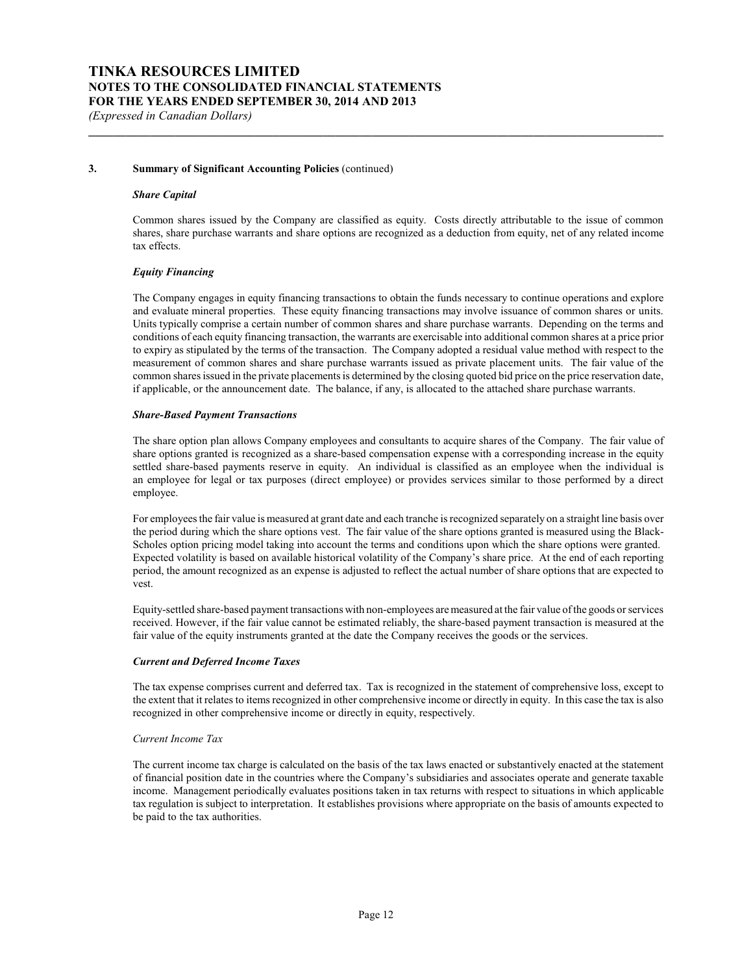#### **3. Summary of Significant Accounting Policies** (continued)

#### *Share Capital*

Common shares issued by the Company are classified as equity. Costs directly attributable to the issue of common shares, share purchase warrants and share options are recognized as a deduction from equity, net of any related income tax effects.

**\_\_\_\_\_\_\_\_\_\_\_\_\_\_\_\_\_\_\_\_\_\_\_\_\_\_\_\_\_\_\_\_\_\_\_\_\_\_\_\_\_\_\_\_\_\_\_\_\_\_\_\_\_\_\_\_\_\_\_\_\_\_\_\_\_\_\_\_\_\_\_\_\_\_\_\_\_\_\_\_\_\_\_\_\_\_\_\_\_\_\_\_\_**

#### *Equity Financing*

The Company engages in equity financing transactions to obtain the funds necessary to continue operations and explore and evaluate mineral properties. These equity financing transactions may involve issuance of common shares or units. Units typically comprise a certain number of common shares and share purchase warrants. Depending on the terms and conditions of each equity financing transaction, the warrants are exercisable into additional common shares at a price prior to expiry as stipulated by the terms of the transaction. The Company adopted a residual value method with respect to the measurement of common shares and share purchase warrants issued as private placement units. The fair value of the common shares issued in the private placements is determined by the closing quoted bid price on the price reservation date, if applicable, or the announcement date. The balance, if any, is allocated to the attached share purchase warrants.

#### *Share-Based Payment Transactions*

The share option plan allows Company employees and consultants to acquire shares of the Company. The fair value of share options granted is recognized as a share-based compensation expense with a corresponding increase in the equity settled share-based payments reserve in equity. An individual is classified as an employee when the individual is an employee for legal or tax purposes (direct employee) or provides services similar to those performed by a direct employee.

For employees the fair value is measured at grant date and each tranche is recognized separately on a straight line basis over the period during which the share options vest. The fair value of the share options granted is measured using the Black-Scholes option pricing model taking into account the terms and conditions upon which the share options were granted. Expected volatility is based on available historical volatility of the Company's share price. At the end of each reporting period, the amount recognized as an expense is adjusted to reflect the actual number of share options that are expected to vest.

Equity-settled share-based payment transactions with non-employees are measured at the fair value of the goods or services received. However, if the fair value cannot be estimated reliably, the share-based payment transaction is measured at the fair value of the equity instruments granted at the date the Company receives the goods or the services.

#### *Current and Deferred Income Taxes*

The tax expense comprises current and deferred tax. Tax is recognized in the statement of comprehensive loss, except to the extent that it relates to items recognized in other comprehensive income or directly in equity. In this case the tax is also recognized in other comprehensive income or directly in equity, respectively.

#### *Current Income Tax*

The current income tax charge is calculated on the basis of the tax laws enacted or substantively enacted at the statement of financial position date in the countries where the Company's subsidiaries and associates operate and generate taxable income. Management periodically evaluates positions taken in tax returns with respect to situations in which applicable tax regulation is subject to interpretation. It establishes provisions where appropriate on the basis of amounts expected to be paid to the tax authorities.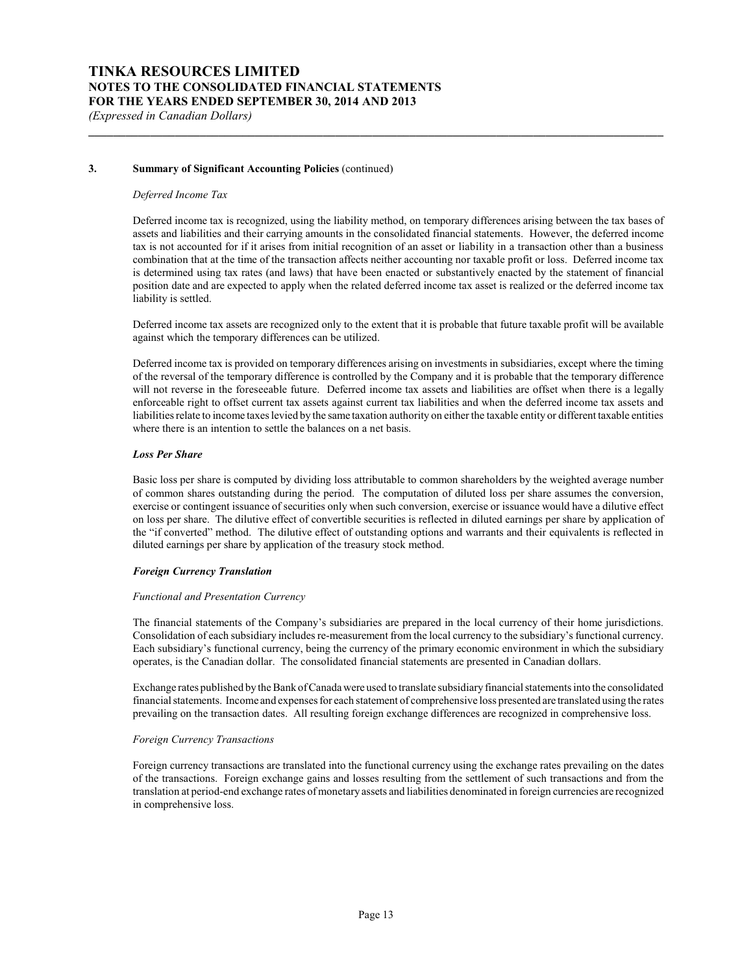#### **3. Summary of Significant Accounting Policies** (continued)

#### *Deferred Income Tax*

Deferred income tax is recognized, using the liability method, on temporary differences arising between the tax bases of assets and liabilities and their carrying amounts in the consolidated financial statements. However, the deferred income tax is not accounted for if it arises from initial recognition of an asset or liability in a transaction other than a business combination that at the time of the transaction affects neither accounting nor taxable profit or loss. Deferred income tax is determined using tax rates (and laws) that have been enacted or substantively enacted by the statement of financial position date and are expected to apply when the related deferred income tax asset is realized or the deferred income tax liability is settled.

**\_\_\_\_\_\_\_\_\_\_\_\_\_\_\_\_\_\_\_\_\_\_\_\_\_\_\_\_\_\_\_\_\_\_\_\_\_\_\_\_\_\_\_\_\_\_\_\_\_\_\_\_\_\_\_\_\_\_\_\_\_\_\_\_\_\_\_\_\_\_\_\_\_\_\_\_\_\_\_\_\_\_\_\_\_\_\_\_\_\_\_\_\_**

Deferred income tax assets are recognized only to the extent that it is probable that future taxable profit will be available against which the temporary differences can be utilized.

Deferred income tax is provided on temporary differences arising on investments in subsidiaries, except where the timing of the reversal of the temporary difference is controlled by the Company and it is probable that the temporary difference will not reverse in the foreseeable future. Deferred income tax assets and liabilities are offset when there is a legally enforceable right to offset current tax assets against current tax liabilities and when the deferred income tax assets and liabilities relate to income taxes levied by the same taxation authority on either the taxable entity or different taxable entities where there is an intention to settle the balances on a net basis.

#### *Loss Per Share*

Basic loss per share is computed by dividing loss attributable to common shareholders by the weighted average number of common shares outstanding during the period. The computation of diluted loss per share assumes the conversion, exercise or contingent issuance of securities only when such conversion, exercise or issuance would have a dilutive effect on loss per share. The dilutive effect of convertible securities is reflected in diluted earnings per share by application of the "if converted" method. The dilutive effect of outstanding options and warrants and their equivalents is reflected in diluted earnings per share by application of the treasury stock method.

#### *Foreign Currency Translation*

#### *Functional and Presentation Currency*

The financial statements of the Company's subsidiaries are prepared in the local currency of their home jurisdictions. Consolidation of each subsidiary includes re-measurement from the local currency to the subsidiary's functional currency. Each subsidiary's functional currency, being the currency of the primary economic environment in which the subsidiary operates, is the Canadian dollar. The consolidated financial statements are presented in Canadian dollars.

Exchange rates published by the Bank of Canada were used to translate subsidiaryfinancial statements into the consolidated financial statements. Income and expenses for each statement of comprehensive loss presented are translated using the rates prevailing on the transaction dates. All resulting foreign exchange differences are recognized in comprehensive loss.

#### *Foreign Currency Transactions*

Foreign currency transactions are translated into the functional currency using the exchange rates prevailing on the dates of the transactions. Foreign exchange gains and losses resulting from the settlement of such transactions and from the translation at period-end exchange rates of monetary assets and liabilities denominated in foreign currencies are recognized in comprehensive loss.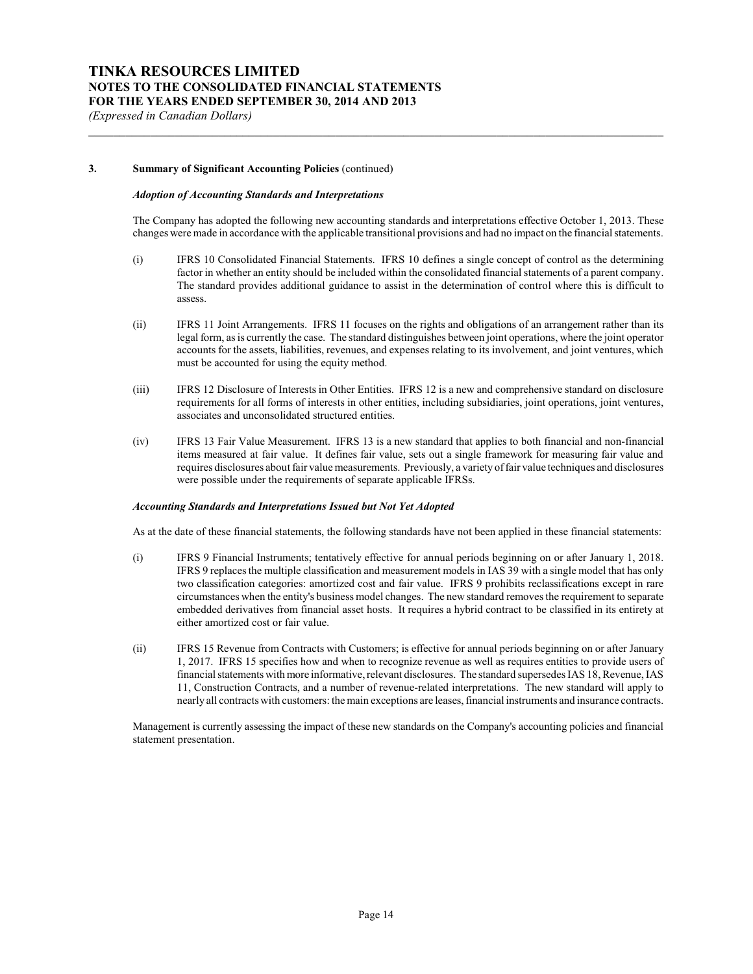#### **3. Summary of Significant Accounting Policies** (continued)

## *Adoption of Accounting Standards and Interpretations*

The Company has adopted the following new accounting standards and interpretations effective October 1, 2013. These changes were made in accordance with the applicable transitional provisions and had no impact on the financial statements.

**\_\_\_\_\_\_\_\_\_\_\_\_\_\_\_\_\_\_\_\_\_\_\_\_\_\_\_\_\_\_\_\_\_\_\_\_\_\_\_\_\_\_\_\_\_\_\_\_\_\_\_\_\_\_\_\_\_\_\_\_\_\_\_\_\_\_\_\_\_\_\_\_\_\_\_\_\_\_\_\_\_\_\_\_\_\_\_\_\_\_\_\_\_**

- (i) IFRS 10 Consolidated Financial Statements. IFRS 10 defines a single concept of control as the determining factor in whether an entity should be included within the consolidated financial statements of a parent company. The standard provides additional guidance to assist in the determination of control where this is difficult to assess.
- (ii) IFRS 11 Joint Arrangements. IFRS 11 focuses on the rights and obligations of an arrangement rather than its legal form, as is currently the case. The standard distinguishes between joint operations, where the joint operator accounts for the assets, liabilities, revenues, and expenses relating to its involvement, and joint ventures, which must be accounted for using the equity method.
- (iii) IFRS 12 Disclosure of Interests in Other Entities. IFRS 12 is a new and comprehensive standard on disclosure requirements for all forms of interests in other entities, including subsidiaries, joint operations, joint ventures, associates and unconsolidated structured entities.
- (iv) IFRS 13 Fair Value Measurement. IFRS 13 is a new standard that applies to both financial and non-financial items measured at fair value. It defines fair value, sets out a single framework for measuring fair value and requires disclosures about fair value measurements. Previously, a variety of fair value techniques and disclosures were possible under the requirements of separate applicable IFRSs.

#### *Accounting Standards and Interpretations Issued but Not Yet Adopted*

As at the date of these financial statements, the following standards have not been applied in these financial statements:

- (i) IFRS 9 Financial Instruments; tentatively effective for annual periods beginning on or after January 1, 2018. IFRS 9 replaces the multiple classification and measurement models in IAS 39 with a single model that has only two classification categories: amortized cost and fair value. IFRS 9 prohibits reclassifications except in rare circumstances when the entity's business model changes. The new standard removes the requirement to separate embedded derivatives from financial asset hosts. It requires a hybrid contract to be classified in its entirety at either amortized cost or fair value.
- (ii) IFRS 15 Revenue from Contracts with Customers; is effective for annual periods beginning on or after January 1, 2017. IFRS 15 specifies how and when to recognize revenue as well as requires entities to provide users of financial statements with more informative, relevant disclosures. The standard supersedes IAS 18, Revenue, IAS 11, Construction Contracts, and a number of revenue-related interpretations. The new standard will apply to nearly all contracts with customers: the main exceptions are leases, financial instruments and insurance contracts.

Management is currently assessing the impact of these new standards on the Company's accounting policies and financial statement presentation.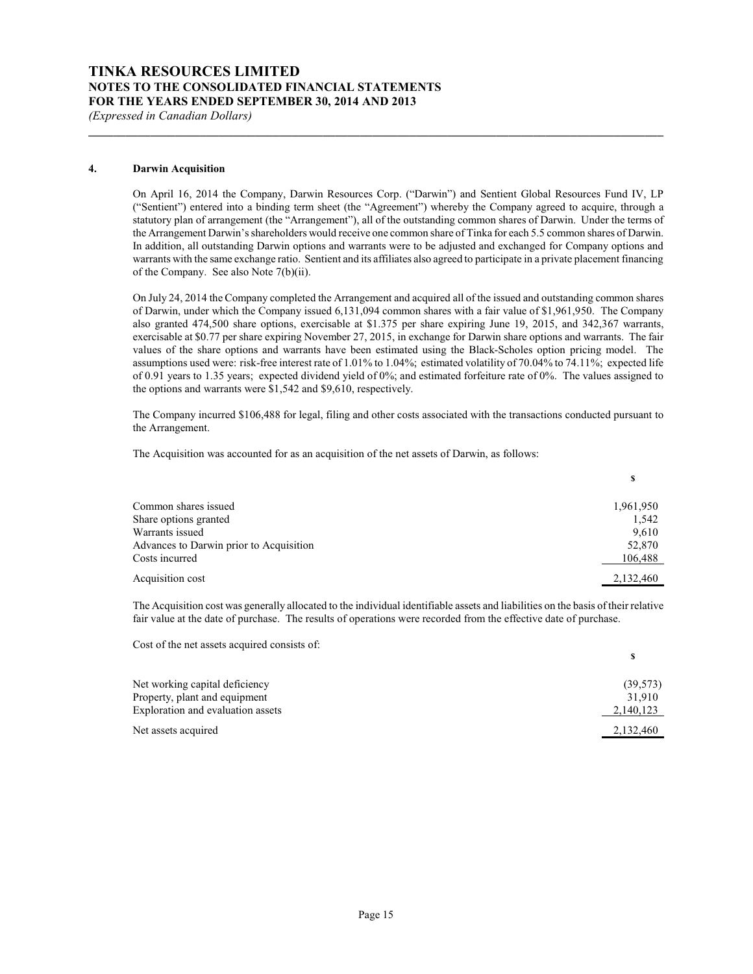*(Expressed in Canadian Dollars)*

#### **4. Darwin Acquisition**

On April 16, 2014 the Company, Darwin Resources Corp. ("Darwin") and Sentient Global Resources Fund IV, LP ("Sentient") entered into a binding term sheet (the "Agreement") whereby the Company agreed to acquire, through a statutory plan of arrangement (the "Arrangement"), all of the outstanding common shares of Darwin. Under the terms of the Arrangement Darwin's shareholders would receive one common share of Tinka for each 5.5 common shares of Darwin. In addition, all outstanding Darwin options and warrants were to be adjusted and exchanged for Company options and warrants with the same exchange ratio. Sentient and its affiliates also agreed to participate in a private placement financing of the Company. See also Note 7(b)(ii).

**\_\_\_\_\_\_\_\_\_\_\_\_\_\_\_\_\_\_\_\_\_\_\_\_\_\_\_\_\_\_\_\_\_\_\_\_\_\_\_\_\_\_\_\_\_\_\_\_\_\_\_\_\_\_\_\_\_\_\_\_\_\_\_\_\_\_\_\_\_\_\_\_\_\_\_\_\_\_\_\_\_\_\_\_\_\_\_\_\_\_\_\_\_**

On July 24, 2014 the Company completed the Arrangement and acquired all of the issued and outstanding common shares of Darwin, under which the Company issued 6,131,094 common shares with a fair value of \$1,961,950. The Company also granted 474,500 share options, exercisable at \$1.375 per share expiring June 19, 2015, and 342,367 warrants, exercisable at \$0.77 per share expiring November 27, 2015, in exchange for Darwin share options and warrants. The fair values of the share options and warrants have been estimated using the Black-Scholes option pricing model. The assumptions used were: risk-free interest rate of 1.01% to 1.04%; estimated volatility of 70.04% to 74.11%; expected life of 0.91 years to 1.35 years; expected dividend yield of 0%; and estimated forfeiture rate of 0%. The values assigned to the options and warrants were \$1,542 and \$9,610, respectively.

The Company incurred \$106,488 for legal, filing and other costs associated with the transactions conducted pursuant to the Arrangement.

**\$**

**\$**

The Acquisition was accounted for as an acquisition of the net assets of Darwin, as follows:

| Common shares issued                    | 1,961,950 |
|-----------------------------------------|-----------|
| Share options granted                   | 1,542     |
| Warrants issued                         | 9,610     |
| Advances to Darwin prior to Acquisition | 52,870    |
| Costs incurred                          | 106,488   |
| Acquisition cost                        | 2,132,460 |

The Acquisition cost was generally allocated to the individual identifiable assets and liabilities on the basis of their relative fair value at the date of purchase. The results of operations were recorded from the effective date of purchase.

Cost of the net assets acquired consists of:

| Net working capital deficiency    | (39, 573) |
|-----------------------------------|-----------|
| Property, plant and equipment     | 31.910    |
| Exploration and evaluation assets | 2,140,123 |
| Net assets acquired               | 2,132,460 |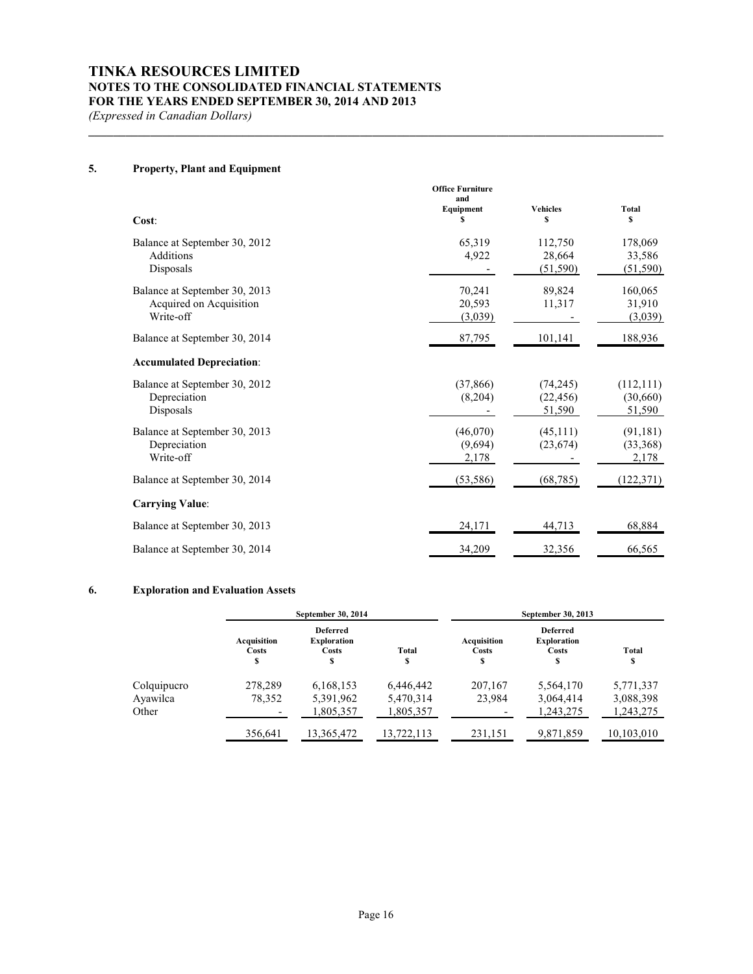*(Expressed in Canadian Dollars)*

# **5. Property, Plant and Equipment**

| Cost:                                                                 | <b>Office Furniture</b><br>and<br>Equipment<br>\$ | <b>Vehicles</b><br>\$            | Total<br>s                       |
|-----------------------------------------------------------------------|---------------------------------------------------|----------------------------------|----------------------------------|
| Balance at September 30, 2012<br>Additions<br>Disposals               | 65,319<br>4,922                                   | 112,750<br>28,664<br>(51, 590)   | 178,069<br>33,586<br>(51, 590)   |
| Balance at September 30, 2013<br>Acquired on Acquisition<br>Write-off | 70,241<br>20,593<br>(3,039)                       | 89,824<br>11,317                 | 160,065<br>31,910<br>(3,039)     |
| Balance at September 30, 2014                                         | 87,795                                            | 101,141                          | 188,936                          |
| <b>Accumulated Depreciation:</b>                                      |                                                   |                                  |                                  |
| Balance at September 30, 2012<br>Depreciation<br>Disposals            | (37, 866)<br>(8,204)                              | (74, 245)<br>(22, 456)<br>51,590 | (112, 111)<br>(30,660)<br>51,590 |
| Balance at September 30, 2013<br>Depreciation<br>Write-off            | (46,070)<br>(9,694)<br>2,178                      | (45,111)<br>(23, 674)            | (91, 181)<br>(33,368)<br>2,178   |
| Balance at September 30, 2014                                         | (53, 586)                                         | (68, 785)                        | (122, 371)                       |
| <b>Carrying Value:</b>                                                |                                                   |                                  |                                  |
| Balance at September 30, 2013                                         | 24,171                                            | 44,713                           | 68,884                           |
| Balance at September 30, 2014                                         | 34,209                                            | 32,356                           | 66,565                           |

**\_\_\_\_\_\_\_\_\_\_\_\_\_\_\_\_\_\_\_\_\_\_\_\_\_\_\_\_\_\_\_\_\_\_\_\_\_\_\_\_\_\_\_\_\_\_\_\_\_\_\_\_\_\_\_\_\_\_\_\_\_\_\_\_\_\_\_\_\_\_\_\_\_\_\_\_\_\_\_\_\_\_\_\_\_\_\_\_\_\_\_\_\_**

### **6. Exploration and Evaluation Assets**

|             | September 30, 2014        |                                                     |             | September 30, 2013        |                                                     |                    |  |
|-------------|---------------------------|-----------------------------------------------------|-------------|---------------------------|-----------------------------------------------------|--------------------|--|
|             | Acquisition<br>Costs<br>S | <b>Deferred</b><br><b>Exploration</b><br>Costs<br>S | Total<br>\$ | Acquisition<br>Costs<br>S | <b>Deferred</b><br><b>Exploration</b><br>Costs<br>S | <b>Total</b><br>\$ |  |
| Colquipucro | 278,289                   | 6,168,153                                           | 6,446,442   | 207,167                   | 5,564,170                                           | 5,771,337          |  |
| Ayawilca    | 78.352                    | 5,391,962                                           | 5,470,314   | 23.984                    | 3.064.414                                           | 3,088,398          |  |
| Other       |                           | 1,805,357                                           | 1,805,357   |                           | 1.243.275                                           | 1,243,275          |  |
|             | 356,641                   | 13,365,472                                          | 13,722,113  | 231,151                   | 9,871,859                                           | 10,103,010         |  |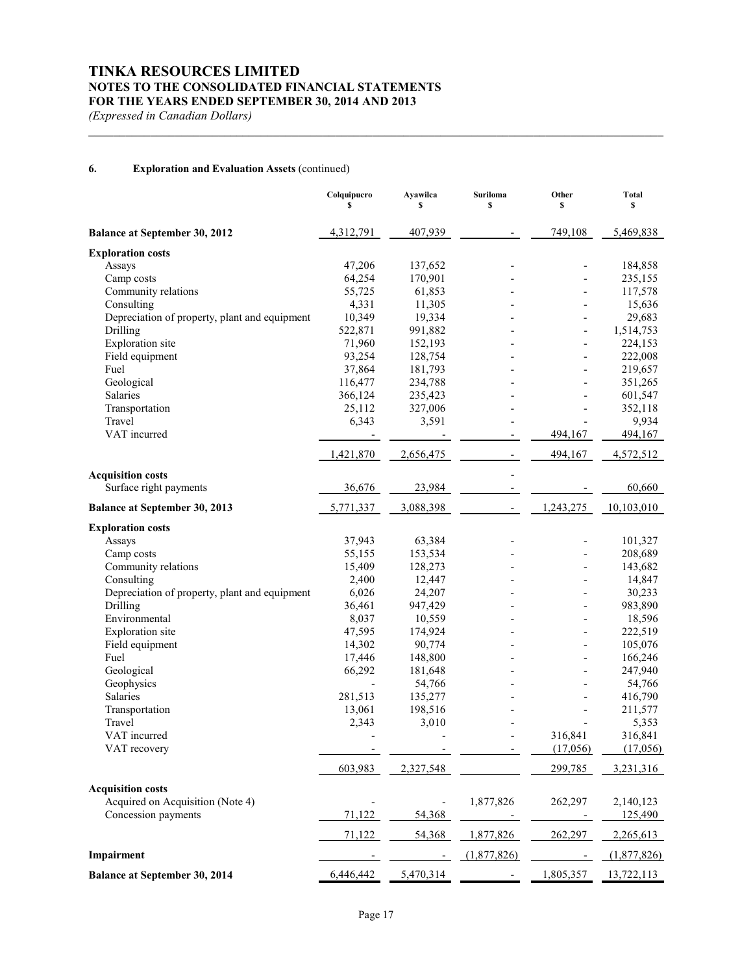*(Expressed in Canadian Dollars)*

# **6. Exploration and Evaluation Assets** (continued)

|                                               | Colquipucro<br>\$ | Ayawilca<br>S            | <b>Suriloma</b><br>\$ | Other<br>\$    | <b>Total</b><br>\$ |
|-----------------------------------------------|-------------------|--------------------------|-----------------------|----------------|--------------------|
| <b>Balance at September 30, 2012</b>          | 4,312,791         | 407,939                  |                       | 749,108        | 5,469,838          |
| <b>Exploration costs</b>                      |                   |                          |                       |                |                    |
| Assays                                        | 47,206            | 137,652                  |                       | $\overline{a}$ | 184,858            |
| Camp costs                                    | 64,254            | 170,901                  |                       |                | 235,155            |
| Community relations                           | 55,725            | 61,853                   |                       |                | 117,578            |
| Consulting                                    | 4,331             | 11,305                   |                       |                | 15,636             |
| Depreciation of property, plant and equipment | 10,349            | 19,334                   |                       |                | 29,683             |
| Drilling                                      | 522,871           | 991,882                  |                       | $\overline{a}$ | 1,514,753          |
| <b>Exploration</b> site                       | 71,960            | 152,193                  |                       |                | 224,153            |
| Field equipment                               | 93,254            | 128,754                  |                       |                | 222,008            |
| Fuel                                          | 37,864            | 181,793                  |                       | $\overline{a}$ | 219,657            |
| Geological                                    | 116,477           | 234,788                  |                       |                | 351,265            |
| Salaries                                      | 366,124           | 235,423                  |                       |                | 601,547            |
| Transportation                                | 25,112            | 327,006                  |                       |                | 352,118            |
| Travel                                        | 6,343             | 3,591                    |                       |                | 9,934              |
| VAT incurred                                  |                   |                          |                       | 494,167        | 494,167            |
|                                               | 1,421,870         | 2,656,475                |                       | 494,167        | 4,572,512          |
| <b>Acquisition costs</b>                      |                   |                          |                       |                |                    |
| Surface right payments                        | 36,676            | 23,984                   |                       |                | 60,660             |
| <b>Balance at September 30, 2013</b>          | 5,771,337         | 3,088,398                |                       | 1,243,275      | 10,103,010         |
| <b>Exploration costs</b>                      |                   |                          |                       |                |                    |
| Assays                                        | 37,943            | 63,384                   |                       |                | 101,327            |
| Camp costs                                    | 55,155            | 153,534                  |                       |                | 208,689            |
| Community relations                           | 15,409            | 128,273                  |                       | $\overline{a}$ | 143,682            |
| Consulting                                    | 2,400             | 12,447                   |                       |                | 14,847             |
| Depreciation of property, plant and equipment | 6,026             | 24,207                   |                       |                | 30,233             |
| Drilling                                      | 36,461            | 947,429                  |                       | $\overline{a}$ | 983,890            |
| Environmental                                 | 8,037             | 10,559                   |                       |                | 18,596             |
| Exploration site                              | 47,595            | 174,924                  |                       | $\overline{a}$ | 222,519            |
| Field equipment                               | 14,302            | 90,774                   |                       | $\overline{a}$ | 105,076            |
| Fuel                                          | 17,446            | 148,800                  |                       | $\overline{a}$ | 166,246            |
| Geological                                    | 66,292            | 181,648                  |                       | $\overline{a}$ | 247,940            |
| Geophysics                                    |                   | 54,766                   |                       |                | 54,766             |
| Salaries                                      | 281,513           | 135,277                  |                       |                | 416,790            |
| Transportation                                | 13,061            | 198,516                  |                       |                | 211,577            |
| Travel                                        | 2,343             | 3,010                    |                       |                | 5,353              |
| VAT incurred                                  |                   |                          |                       | 316,841        | 316,841            |
| VAT recovery                                  |                   |                          |                       | (17,056)       | (17,056)           |
|                                               | 603,983           | 2,327,548                |                       | 299,785        | 3,231,316          |
| <b>Acquisition costs</b>                      |                   |                          |                       |                |                    |
| Acquired on Acquisition (Note 4)              |                   |                          | 1,877,826             | 262,297        | 2,140,123          |
| Concession payments                           | 71,122            | 54,368                   |                       |                | 125,490            |
|                                               | 71,122            | 54,368                   | 1,877,826             | 262,297        | 2,265,613          |
| Impairment                                    |                   | $\overline{\phantom{a}}$ | (1,877,826)           |                | (1,877,826)        |
| <b>Balance at September 30, 2014</b>          | 6,446,442         | 5,470,314                |                       | 1,805,357      | 13,722,113         |

**\_\_\_\_\_\_\_\_\_\_\_\_\_\_\_\_\_\_\_\_\_\_\_\_\_\_\_\_\_\_\_\_\_\_\_\_\_\_\_\_\_\_\_\_\_\_\_\_\_\_\_\_\_\_\_\_\_\_\_\_\_\_\_\_\_\_\_\_\_\_\_\_\_\_\_\_\_\_\_\_\_\_\_\_\_\_\_\_\_\_\_\_\_**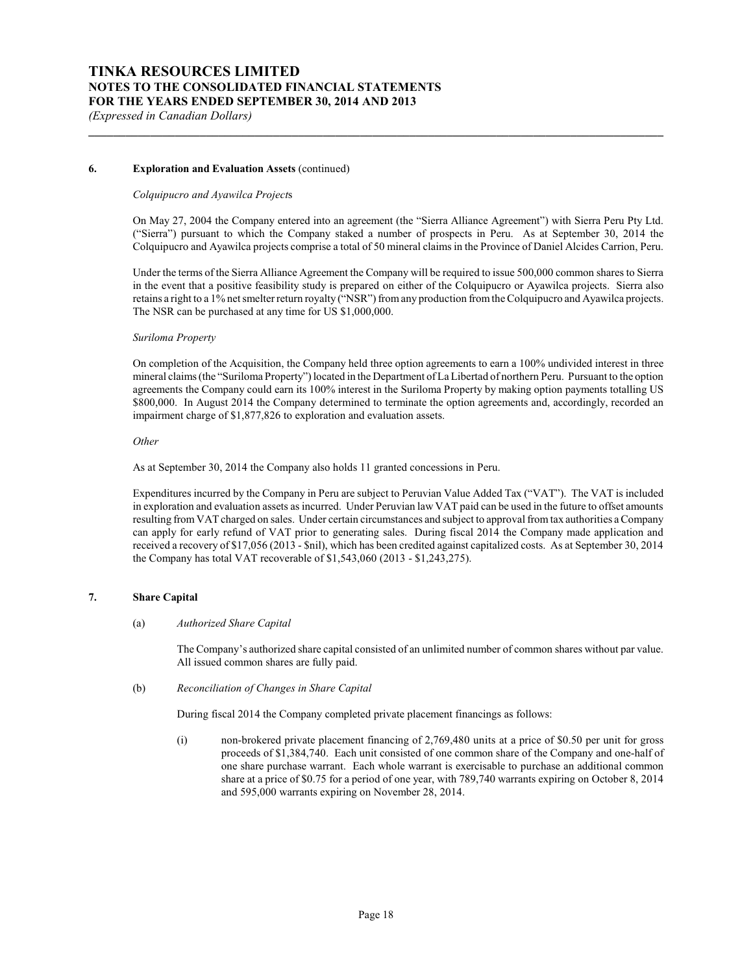### **6. Exploration and Evaluation Assets** (continued)

#### *Colquipucro and Ayawilca Project*s

On May 27, 2004 the Company entered into an agreement (the "Sierra Alliance Agreement") with Sierra Peru Pty Ltd. ("Sierra") pursuant to which the Company staked a number of prospects in Peru. As at September 30, 2014 the Colquipucro and Ayawilca projects comprise a total of 50 mineral claims in the Province of Daniel Alcides Carrion, Peru.

**\_\_\_\_\_\_\_\_\_\_\_\_\_\_\_\_\_\_\_\_\_\_\_\_\_\_\_\_\_\_\_\_\_\_\_\_\_\_\_\_\_\_\_\_\_\_\_\_\_\_\_\_\_\_\_\_\_\_\_\_\_\_\_\_\_\_\_\_\_\_\_\_\_\_\_\_\_\_\_\_\_\_\_\_\_\_\_\_\_\_\_\_\_**

Under the terms of the Sierra Alliance Agreement the Company will be required to issue 500,000 common shares to Sierra in the event that a positive feasibility study is prepared on either of the Colquipucro or Ayawilca projects. Sierra also retains a right to a 1% net smelter return royalty ("NSR") from any production from the Colquipucro and Ayawilca projects. The NSR can be purchased at any time for US \$1,000,000.

#### *Suriloma Property*

On completion of the Acquisition, the Company held three option agreements to earn a 100% undivided interest in three mineral claims (the "Suriloma Property") located in the Department of La Libertad of northern Peru. Pursuant to the option agreements the Company could earn its 100% interest in the Suriloma Property by making option payments totalling US \$800,000. In August 2014 the Company determined to terminate the option agreements and, accordingly, recorded an impairment charge of \$1,877,826 to exploration and evaluation assets.

#### *Other*

As at September 30, 2014 the Company also holds 11 granted concessions in Peru.

Expenditures incurred by the Company in Peru are subject to Peruvian Value Added Tax ("VAT"). The VAT is included in exploration and evaluation assets as incurred. Under Peruvian law VAT paid can be used in the future to offset amounts resulting from VAT charged on sales. Under certain circumstances and subject to approval from tax authorities a Company can apply for early refund of VAT prior to generating sales. During fiscal 2014 the Company made application and received a recovery of \$17,056 (2013 - \$nil), which has been credited against capitalized costs. As at September 30, 2014 the Company has total VAT recoverable of \$1,543,060 (2013 - \$1,243,275).

#### **7. Share Capital**

#### (a) *Authorized Share Capital*

The Company's authorized share capital consisted of an unlimited number of common shares without par value. All issued common shares are fully paid.

(b) *Reconciliation of Changes in Share Capital*

During fiscal 2014 the Company completed private placement financings as follows:

(i) non-brokered private placement financing of 2,769,480 units at a price of \$0.50 per unit for gross proceeds of \$1,384,740. Each unit consisted of one common share of the Company and one-half of one share purchase warrant. Each whole warrant is exercisable to purchase an additional common share at a price of \$0.75 for a period of one year, with 789,740 warrants expiring on October 8, 2014 and 595,000 warrants expiring on November 28, 2014.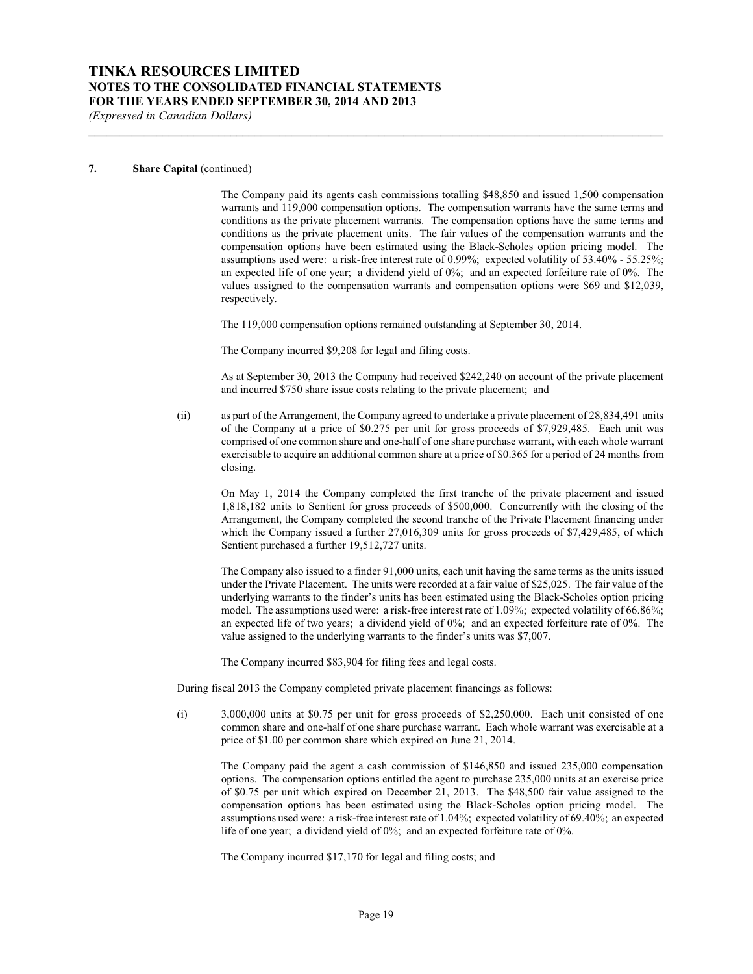*(Expressed in Canadian Dollars)*

#### **7. Share Capital** (continued)

The Company paid its agents cash commissions totalling \$48,850 and issued 1,500 compensation warrants and 119,000 compensation options. The compensation warrants have the same terms and conditions as the private placement warrants. The compensation options have the same terms and conditions as the private placement units. The fair values of the compensation warrants and the compensation options have been estimated using the Black-Scholes option pricing model. The assumptions used were: a risk-free interest rate of 0.99%; expected volatility of 53.40% - 55.25%; an expected life of one year; a dividend yield of  $0\%$ ; and an expected forfeiture rate of  $0\%$ . The values assigned to the compensation warrants and compensation options were \$69 and \$12,039, respectively.

The 119,000 compensation options remained outstanding at September 30, 2014.

**\_\_\_\_\_\_\_\_\_\_\_\_\_\_\_\_\_\_\_\_\_\_\_\_\_\_\_\_\_\_\_\_\_\_\_\_\_\_\_\_\_\_\_\_\_\_\_\_\_\_\_\_\_\_\_\_\_\_\_\_\_\_\_\_\_\_\_\_\_\_\_\_\_\_\_\_\_\_\_\_\_\_\_\_\_\_\_\_\_\_\_\_\_**

The Company incurred \$9,208 for legal and filing costs.

As at September 30, 2013 the Company had received \$242,240 on account of the private placement and incurred \$750 share issue costs relating to the private placement; and

(ii) as part of the Arrangement, the Company agreed to undertake a private placement of 28,834,491 units of the Company at a price of \$0.275 per unit for gross proceeds of \$7,929,485. Each unit was comprised of one common share and one-half of one share purchase warrant, with each whole warrant exercisable to acquire an additional common share at a price of \$0.365 for a period of 24 months from closing.

On May 1, 2014 the Company completed the first tranche of the private placement and issued 1,818,182 units to Sentient for gross proceeds of \$500,000. Concurrently with the closing of the Arrangement, the Company completed the second tranche of the Private Placement financing under which the Company issued a further 27,016,309 units for gross proceeds of \$7,429,485, of which Sentient purchased a further 19,512,727 units.

The Company also issued to a finder 91,000 units, each unit having the same terms as the units issued under the Private Placement. The units were recorded at a fair value of \$25,025. The fair value of the underlying warrants to the finder's units has been estimated using the Black-Scholes option pricing model. The assumptions used were: a risk-free interest rate of 1.09%; expected volatility of 66.86%; an expected life of two years; a dividend yield of 0%; and an expected forfeiture rate of 0%. The value assigned to the underlying warrants to the finder's units was \$7,007.

The Company incurred \$83,904 for filing fees and legal costs.

During fiscal 2013 the Company completed private placement financings as follows:

(i) 3,000,000 units at \$0.75 per unit for gross proceeds of \$2,250,000. Each unit consisted of one common share and one-half of one share purchase warrant. Each whole warrant was exercisable at a price of \$1.00 per common share which expired on June 21, 2014.

The Company paid the agent a cash commission of \$146,850 and issued 235,000 compensation options. The compensation options entitled the agent to purchase 235,000 units at an exercise price of \$0.75 per unit which expired on December 21, 2013. The \$48,500 fair value assigned to the compensation options has been estimated using the Black-Scholes option pricing model. The assumptions used were: a risk-free interest rate of 1.04%; expected volatility of 69.40%; an expected life of one year; a dividend yield of 0%; and an expected forfeiture rate of 0%.

The Company incurred \$17,170 for legal and filing costs; and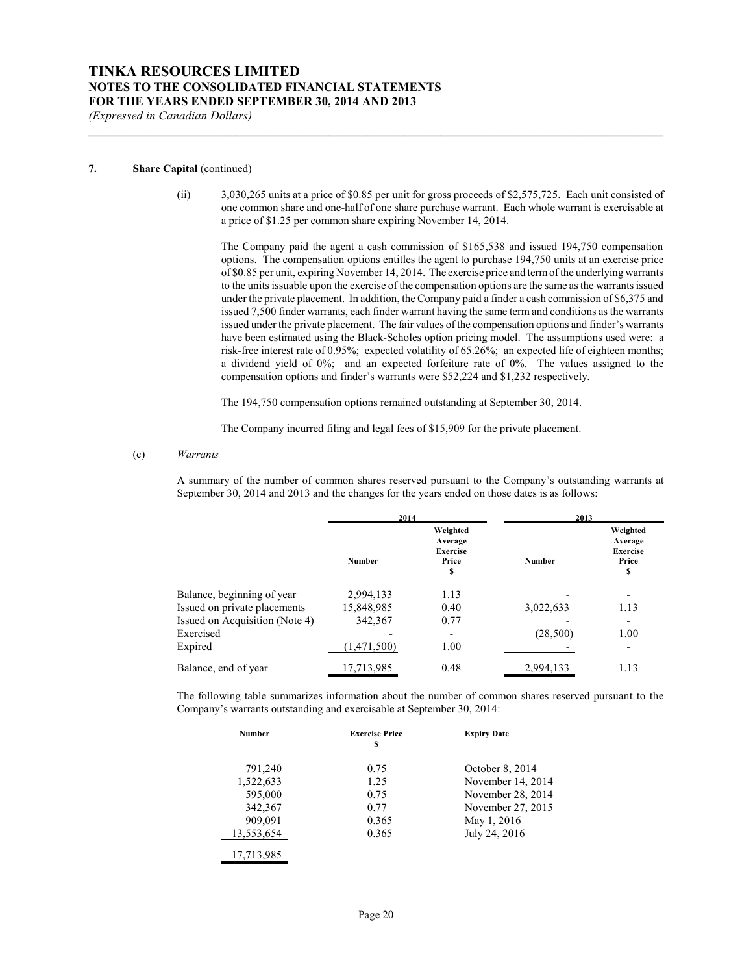#### **7. Share Capital** (continued)

(ii) 3,030,265 units at a price of \$0.85 per unit for gross proceeds of \$2,575,725. Each unit consisted of one common share and one-half of one share purchase warrant. Each whole warrant is exercisable at a price of \$1.25 per common share expiring November 14, 2014.

**\_\_\_\_\_\_\_\_\_\_\_\_\_\_\_\_\_\_\_\_\_\_\_\_\_\_\_\_\_\_\_\_\_\_\_\_\_\_\_\_\_\_\_\_\_\_\_\_\_\_\_\_\_\_\_\_\_\_\_\_\_\_\_\_\_\_\_\_\_\_\_\_\_\_\_\_\_\_\_\_\_\_\_\_\_\_\_\_\_\_\_\_\_**

The Company paid the agent a cash commission of \$165,538 and issued 194,750 compensation options. The compensation options entitles the agent to purchase 194,750 units at an exercise price of \$0.85 per unit, expiring November 14, 2014. The exercise price and termof the underlying warrants to the units issuable upon the exercise of the compensation options are the same as the warrants issued under the private placement. In addition, the Company paid a finder a cash commission of \$6,375 and issued 7,500 finder warrants, each finder warrant having the same term and conditions as the warrants issued under the private placement. The fair values of the compensation options and finder's warrants have been estimated using the Black-Scholes option pricing model. The assumptions used were: a risk-free interest rate of 0.95%; expected volatility of 65.26%; an expected life of eighteen months; a dividend yield of 0%; and an expected forfeiture rate of 0%. The values assigned to the compensation options and finder's warrants were \$52,224 and \$1,232 respectively.

The 194,750 compensation options remained outstanding at September 30, 2014.

The Company incurred filing and legal fees of \$15,909 for the private placement.

#### (c) *Warrants*

A summary of the number of common shares reserved pursuant to the Company's outstanding warrants at September 30, 2014 and 2013 and the changes for the years ended on those dates is as follows:

|                                | 2014          |                                                       | 2013          |                                                       |
|--------------------------------|---------------|-------------------------------------------------------|---------------|-------------------------------------------------------|
|                                | <b>Number</b> | Weighted<br>Average<br><b>Exercise</b><br>Price<br>\$ | <b>Number</b> | Weighted<br>Average<br><b>Exercise</b><br>Price<br>\$ |
| Balance, beginning of year     | 2,994,133     | 1.13                                                  |               |                                                       |
| Issued on private placements   | 15,848,985    | 0.40                                                  | 3,022,633     | 1.13                                                  |
| Issued on Acquisition (Note 4) | 342,367       | 0.77                                                  |               |                                                       |
| Exercised                      |               | $\overline{\phantom{a}}$                              | (28,500)      | 1.00                                                  |
| Expired                        | (1,471,500)   | 1.00                                                  |               |                                                       |
| Balance, end of year           | 17,713,985    | 0.48                                                  | 2,994,133     | 1.13                                                  |

The following table summarizes information about the number of common shares reserved pursuant to the Company's warrants outstanding and exercisable at September 30, 2014:

| <b>Number</b> | <b>Exercise Price</b><br>S | <b>Expiry Date</b> |
|---------------|----------------------------|--------------------|
| 791,240       | 0.75                       | October 8, 2014    |
| 1,522,633     | 1.25                       | November 14, 2014  |
| 595,000       | 0.75                       | November 28, 2014  |
| 342,367       | 0.77                       | November 27, 2015  |
| 909,091       | 0.365                      | May 1, 2016        |
| 13,553,654    | 0.365                      | July 24, 2016      |
| 17,713,985    |                            |                    |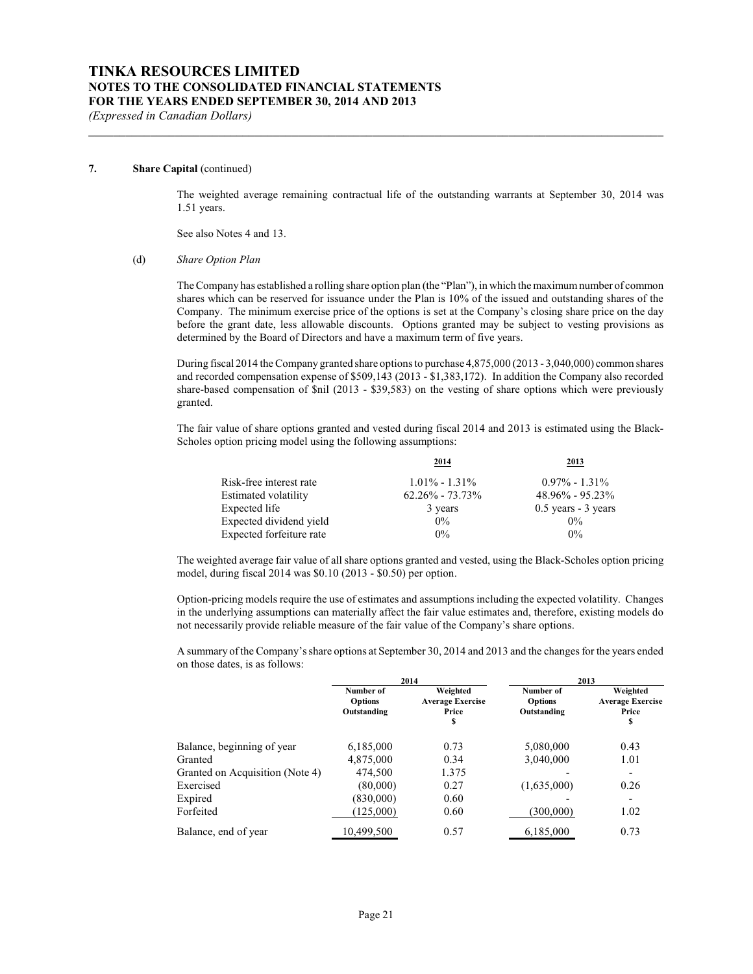#### **7. Share Capital** (continued)

The weighted average remaining contractual life of the outstanding warrants at September 30, 2014 was 1.51 years.

**\_\_\_\_\_\_\_\_\_\_\_\_\_\_\_\_\_\_\_\_\_\_\_\_\_\_\_\_\_\_\_\_\_\_\_\_\_\_\_\_\_\_\_\_\_\_\_\_\_\_\_\_\_\_\_\_\_\_\_\_\_\_\_\_\_\_\_\_\_\_\_\_\_\_\_\_\_\_\_\_\_\_\_\_\_\_\_\_\_\_\_\_\_**

See also Notes 4 and 13.

(d) *Share Option Plan*

The Company has established a rolling share option plan (the "Plan"), in which the maximumnumber of common shares which can be reserved for issuance under the Plan is 10% of the issued and outstanding shares of the Company. The minimum exercise price of the options is set at the Company's closing share price on the day before the grant date, less allowable discounts. Options granted may be subject to vesting provisions as determined by the Board of Directors and have a maximum term of five years.

During fiscal 2014 the Company granted share options to purchase 4,875,000 (2013 - 3,040,000) common shares and recorded compensation expense of \$509,143 (2013 - \$1,383,172). In addition the Company also recorded share-based compensation of \$nil (2013 - \$39,583) on the vesting of share options which were previously granted.

The fair value of share options granted and vested during fiscal 2014 and 2013 is estimated using the Black-Scholes option pricing model using the following assumptions:

| 2014                | 2013                  |
|---------------------|-----------------------|
| $1.01\% - 1.31\%$   | $0.97\% - 1.31\%$     |
| $62.26\% - 73.73\%$ | $48.96\% - 95.23\%$   |
| 3 years             | $0.5$ years - 3 years |
| $0\%$               | $0\%$                 |
| $0\%$               | $0\%$                 |
|                     |                       |

The weighted average fair value of all share options granted and vested, using the Black-Scholes option pricing model, during fiscal 2014 was \$0.10 (2013 - \$0.50) per option.

Option-pricing models require the use of estimates and assumptions including the expected volatility. Changes in the underlying assumptions can materially affect the fair value estimates and, therefore, existing models do not necessarily provide reliable measure of the fair value of the Company's share options.

A summary of the Company'sshare options at September 30, 2014 and 2013 and the changes for the years ended on those dates, is as follows:

|                                 | 2014                                       |                                                   | 2013                                       |                                                   |  |
|---------------------------------|--------------------------------------------|---------------------------------------------------|--------------------------------------------|---------------------------------------------------|--|
|                                 | Number of<br><b>Options</b><br>Outstanding | Weighted<br><b>Average Exercise</b><br>Price<br>S | Number of<br><b>Options</b><br>Outstanding | Weighted<br><b>Average Exercise</b><br>Price<br>s |  |
| Balance, beginning of year      | 6,185,000                                  | 0.73                                              | 5,080,000                                  | 0.43                                              |  |
| Granted                         | 4,875,000                                  | 0.34                                              | 3,040,000                                  | 1.01                                              |  |
| Granted on Acquisition (Note 4) | 474,500                                    | 1.375                                             |                                            |                                                   |  |
| Exercised                       | (80,000)                                   | 0.27                                              | (1,635,000)                                | 0.26                                              |  |
| Expired                         | (830,000)                                  | 0.60                                              |                                            |                                                   |  |
| Forfeited                       | (125,000)                                  | 0.60                                              | (300,000)                                  | 1.02                                              |  |
| Balance, end of year            | 10,499,500                                 | 0.57                                              | 6,185,000                                  | 0.73                                              |  |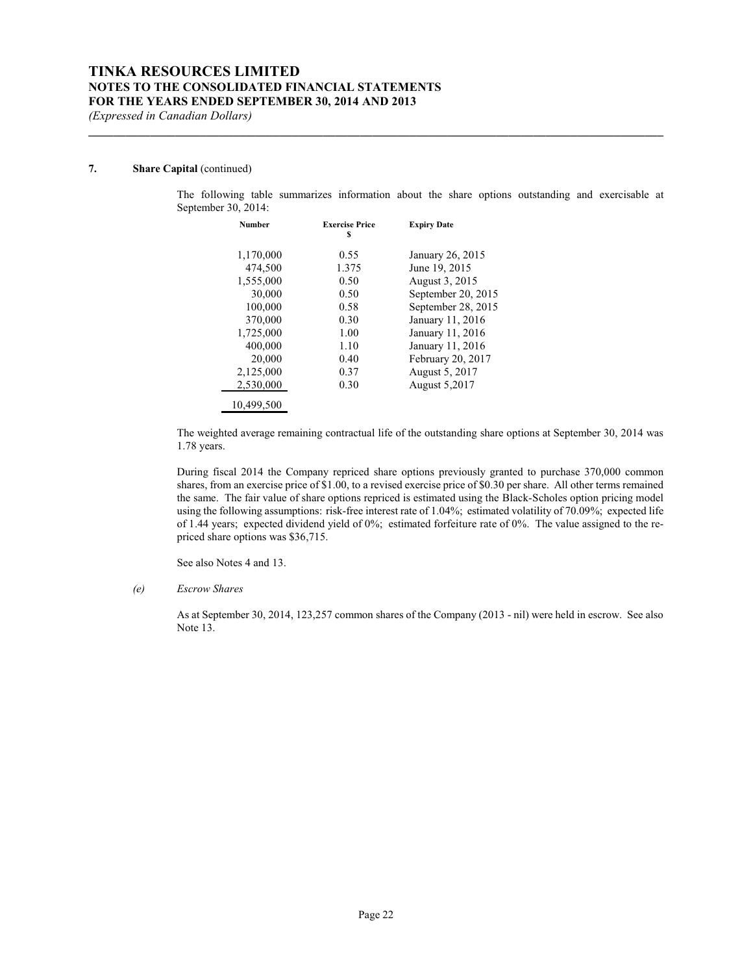## **7. Share Capital** (continued)

The following table summarizes information about the share options outstanding and exercisable at September 30, 2014:

| <b>Number</b> | <b>Exercise Price</b><br>s | <b>Expiry Date</b> |
|---------------|----------------------------|--------------------|
| 1,170,000     | 0.55                       | January 26, 2015   |
| 474,500       | 1.375                      | June 19, 2015      |
| 1,555,000     | 0.50                       | August 3, 2015     |
| 30,000        | 0.50                       | September 20, 2015 |
| 100,000       | 0.58                       | September 28, 2015 |
| 370,000       | 0.30                       | January 11, 2016   |
| 1,725,000     | 1.00                       | January 11, 2016   |
| 400,000       | 1.10                       | January 11, 2016   |
| 20,000        | 0.40                       | February 20, 2017  |
| 2,125,000     | 0.37                       | August 5, 2017     |
| 2.530,000     | 0.30                       | August 5,2017      |
| 10.499.500    |                            |                    |

**\_\_\_\_\_\_\_\_\_\_\_\_\_\_\_\_\_\_\_\_\_\_\_\_\_\_\_\_\_\_\_\_\_\_\_\_\_\_\_\_\_\_\_\_\_\_\_\_\_\_\_\_\_\_\_\_\_\_\_\_\_\_\_\_\_\_\_\_\_\_\_\_\_\_\_\_\_\_\_\_\_\_\_\_\_\_\_\_\_\_\_\_\_**

The weighted average remaining contractual life of the outstanding share options at September 30, 2014 was 1.78 years.

During fiscal 2014 the Company repriced share options previously granted to purchase 370,000 common shares, from an exercise price of \$1.00, to a revised exercise price of \$0.30 per share. All other terms remained the same. The fair value of share options repriced is estimated using the Black-Scholes option pricing model using the following assumptions: risk-free interest rate of 1.04%; estimated volatility of 70.09%; expected life of 1.44 years; expected dividend yield of 0%; estimated forfeiture rate of 0%. The value assigned to the repriced share options was \$36,715.

See also Notes 4 and 13.

### *(e) Escrow Shares*

As at September 30, 2014, 123,257 common shares of the Company (2013 - nil) were held in escrow. See also Note 13.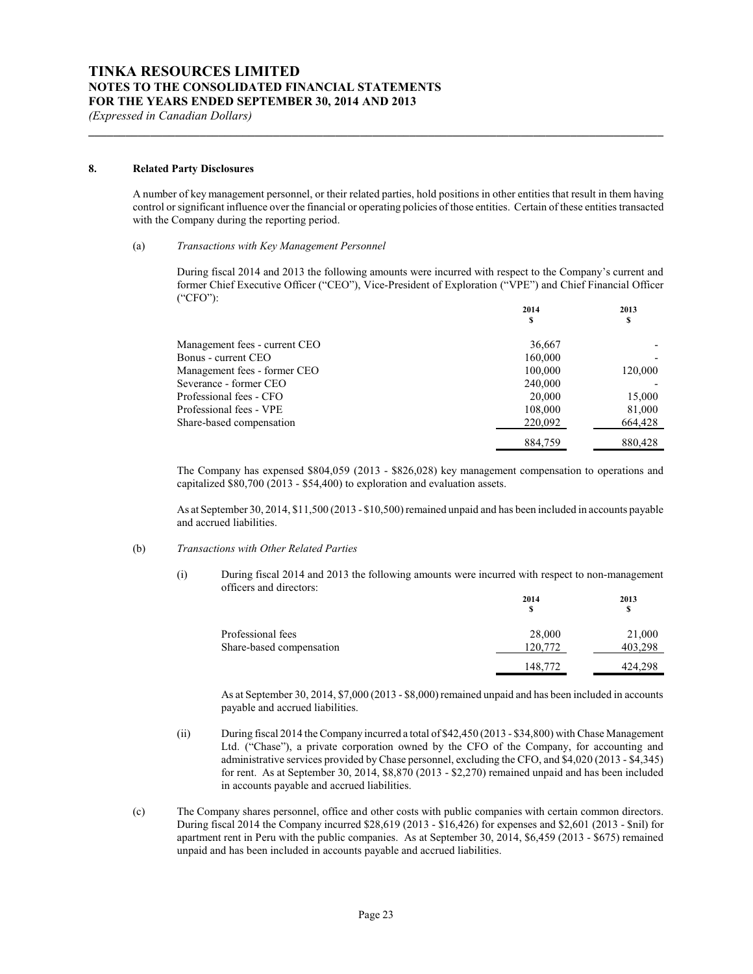#### **8. Related Party Disclosures**

A number of key management personnel, or their related parties, hold positions in other entities that result in them having control or significant influence over the financial or operating policies of those entities. Certain of these entities transacted with the Company during the reporting period.

**\_\_\_\_\_\_\_\_\_\_\_\_\_\_\_\_\_\_\_\_\_\_\_\_\_\_\_\_\_\_\_\_\_\_\_\_\_\_\_\_\_\_\_\_\_\_\_\_\_\_\_\_\_\_\_\_\_\_\_\_\_\_\_\_\_\_\_\_\_\_\_\_\_\_\_\_\_\_\_\_\_\_\_\_\_\_\_\_\_\_\_\_\_**

#### (a) *Transactions with Key Management Personnel*

During fiscal 2014 and 2013 the following amounts were incurred with respect to the Company's current and former Chief Executive Officer ("CEO"), Vice-President of Exploration ("VPE") and Chief Financial Officer ("CFO"):

|                               | 2014    | 2013    |
|-------------------------------|---------|---------|
|                               | \$      | S       |
|                               |         |         |
| Management fees - current CEO | 36,667  |         |
| Bonus - current CEO           | 160,000 |         |
| Management fees - former CEO  | 100,000 | 120,000 |
| Severance - former CEO        | 240,000 |         |
| Professional fees - CFO       | 20,000  | 15,000  |
| Professional fees - VPE       | 108,000 | 81,000  |
| Share-based compensation      | 220,092 | 664,428 |
|                               | 884,759 | 880,428 |

The Company has expensed \$804,059 (2013 - \$826,028) key management compensation to operations and capitalized \$80,700 (2013 - \$54,400) to exploration and evaluation assets.

As at September 30, 2014, \$11,500 (2013 - \$10,500) remained unpaid and has been included in accounts payable and accrued liabilities.

#### (b) *Transactions with Other Related Parties*

(i) During fiscal 2014 and 2013 the following amounts were incurred with respect to non-management officers and directors:

|                          | 2014    | 2013    |  |
|--------------------------|---------|---------|--|
|                          | S       | S       |  |
| Professional fees        | 28,000  | 21,000  |  |
| Share-based compensation | 120.772 | 403.298 |  |
|                          | 148,772 | 424.298 |  |

As at September 30, 2014, \$7,000 (2013 - \$8,000) remained unpaid and has been included in accounts payable and accrued liabilities.

- (ii) During fiscal 2014 the Company incurred a total of \$42,450 (2013 \$34,800) with Chase Management Ltd. ("Chase"), a private corporation owned by the CFO of the Company, for accounting and administrative services provided by Chase personnel, excluding the CFO, and \$4,020 (2013 - \$4,345) for rent. As at September 30, 2014, \$8,870 (2013 - \$2,270) remained unpaid and has been included in accounts payable and accrued liabilities.
- (c) The Company shares personnel, office and other costs with public companies with certain common directors. During fiscal 2014 the Company incurred \$28,619 (2013 - \$16,426) for expenses and \$2,601 (2013 - \$nil) for apartment rent in Peru with the public companies. As at September 30, 2014, \$6,459 (2013 - \$675) remained unpaid and has been included in accounts payable and accrued liabilities.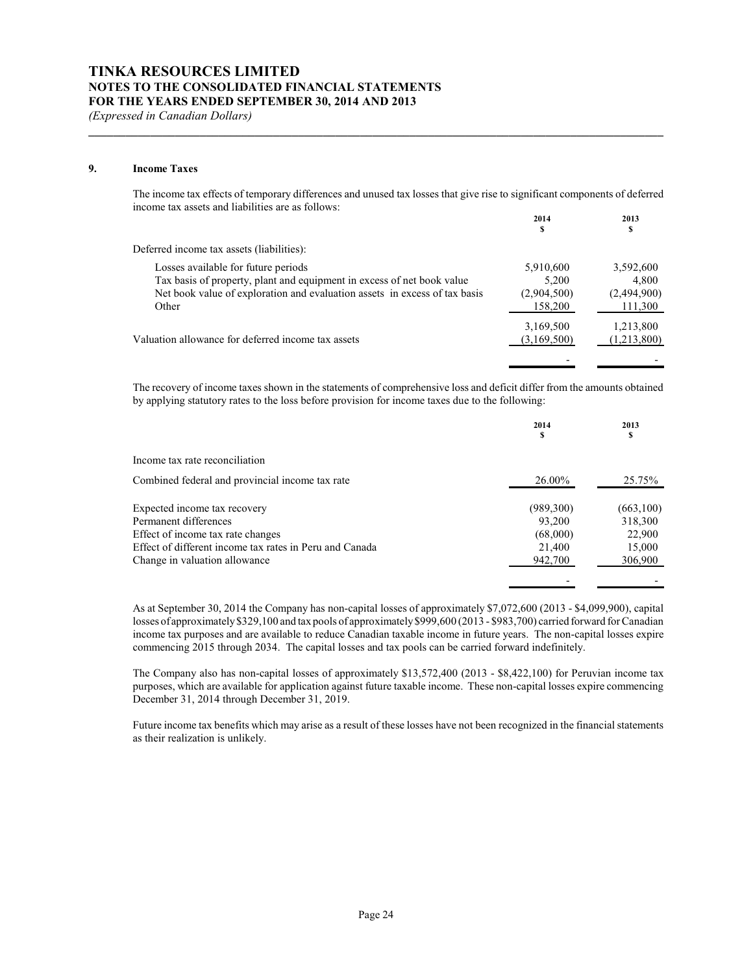#### **9. Income Taxes**

The income tax effects of temporary differences and unused tax losses that give rise to significant components of deferred income tax assets and liabilities are as follows:

**\_\_\_\_\_\_\_\_\_\_\_\_\_\_\_\_\_\_\_\_\_\_\_\_\_\_\_\_\_\_\_\_\_\_\_\_\_\_\_\_\_\_\_\_\_\_\_\_\_\_\_\_\_\_\_\_\_\_\_\_\_\_\_\_\_\_\_\_\_\_\_\_\_\_\_\_\_\_\_\_\_\_\_\_\_\_\_\_\_\_\_\_\_**

|                                                                            | 2014<br>S   | 2013<br>S   |
|----------------------------------------------------------------------------|-------------|-------------|
| Deferred income tax assets (liabilities):                                  |             |             |
| Losses available for future periods                                        | 5,910,600   | 3,592,600   |
| Tax basis of property, plant and equipment in excess of net book value     | 5.200       | 4.800       |
| Net book value of exploration and evaluation assets in excess of tax basis | (2,904,500) | (2,494,900) |
| Other                                                                      | 158,200     | 111,300     |
|                                                                            | 3,169,500   | 1,213,800   |
| Valuation allowance for deferred income tax assets                         | (3,169,500) | (1,213,800) |
|                                                                            |             |             |

The recovery of income taxes shown in the statements of comprehensive loss and deficit differ from the amounts obtained by applying statutory rates to the loss before provision for income taxes due to the following:

|                                                         | 2014<br>э | 2013<br>\$ |
|---------------------------------------------------------|-----------|------------|
| Income tax rate reconciliation                          |           |            |
| Combined federal and provincial income tax rate         | 26.00%    | 25.75%     |
| Expected income tax recovery                            | (989,300) | (663, 100) |
| Permanent differences                                   | 93,200    | 318,300    |
| Effect of income tax rate changes                       | (68,000)  | 22,900     |
| Effect of different income tax rates in Peru and Canada | 21,400    | 15,000     |
| Change in valuation allowance                           | 942,700   | 306,900    |
|                                                         |           |            |

As at September 30, 2014 the Company has non-capital losses of approximately \$7,072,600 (2013 - \$4,099,900), capital losses of approximately \$329,100 and tax pools of approximately \$999,600 (2013 - \$983,700) carried forward for Canadian income tax purposes and are available to reduce Canadian taxable income in future years. The non-capital losses expire commencing 2015 through 2034. The capital losses and tax pools can be carried forward indefinitely.

The Company also has non-capital losses of approximately \$13,572,400 (2013 - \$8,422,100) for Peruvian income tax purposes, which are available for application against future taxable income. These non-capital losses expire commencing December 31, 2014 through December 31, 2019.

Future income tax benefits which may arise as a result of these losses have not been recognized in the financial statements as their realization is unlikely.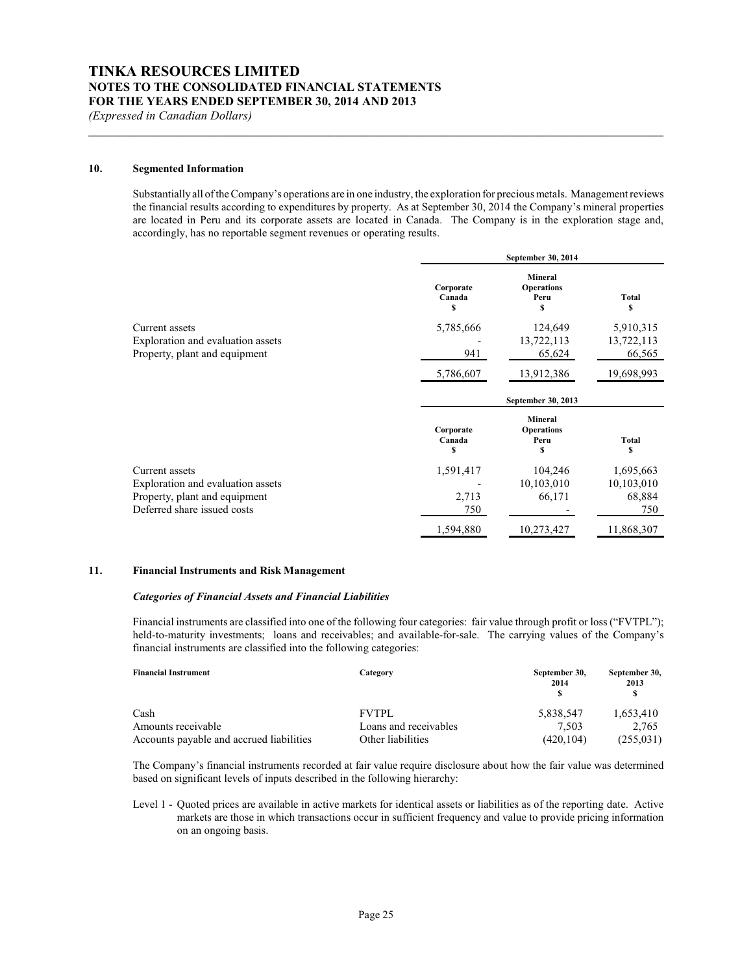#### **10. Segmented Information**

Substantially all of the Company's operations are in one industry, the exploration for precious metals. Management reviews the financial results according to expenditures by property. As at September 30, 2014 the Company's mineral properties are located in Peru and its corporate assets are located in Canada. The Company is in the exploration stage and, accordingly, has no reportable segment revenues or operating results.

**\_\_\_\_\_\_\_\_\_\_\_\_\_\_\_\_\_\_\_\_\_\_\_\_\_\_\_\_\_\_\_\_\_\_\_\_\_\_\_\_\_\_\_\_\_\_\_\_\_\_\_\_\_\_\_\_\_\_\_\_\_\_\_\_\_\_\_\_\_\_\_\_\_\_\_\_\_\_\_\_\_\_\_\_\_\_\_\_\_\_\_\_\_**

| Corporate<br>Canada<br>s  | <b>Mineral</b><br><b>Operations</b><br>Peru<br>\$ | <b>Total</b><br>S  |  |
|---------------------------|---------------------------------------------------|--------------------|--|
| 5,785,666                 | 124,649                                           | 5,910,315          |  |
|                           | 13,722,113                                        | 13,722,113         |  |
| 941                       | 65,624                                            | 66,565             |  |
| 5,786,607                 | 13,912,386                                        | 19,698,993         |  |
| September 30, 2013        |                                                   |                    |  |
| Corporate<br>Canada<br>\$ | <b>Mineral</b><br><b>Operations</b><br>Peru<br>\$ | <b>Total</b><br>\$ |  |
| 1,591,417                 | 104,246                                           | 1,695,663          |  |
|                           | 10,103,010                                        | 10,103,010         |  |
| 2,713                     | 66,171                                            | 68,884             |  |
| 750                       |                                                   | 750                |  |
|                           |                                                   |                    |  |
|                           |                                                   | September 30, 2014 |  |

#### **11. Financial Instruments and Risk Management**

#### *Categories of Financial Assets and Financial Liabilities*

Financial instruments are classified into one of the following four categories: fair value through profit or loss ("FVTPL"); held-to-maturity investments; loans and receivables; and available-for-sale. The carrying values of the Company's financial instruments are classified into the following categories:

| <b>Financial Instrument</b>              | Category              | September 30,<br>2014 | September 30,<br>2013 |
|------------------------------------------|-----------------------|-----------------------|-----------------------|
| Cash                                     | <b>FVTPL</b>          | 5,838,547             | 1,653,410             |
| Amounts receivable                       | Loans and receivables | 7.503                 | 2.765                 |
| Accounts payable and accrued liabilities | Other liabilities     | (420, 104)            | (255, 031)            |

The Company's financial instruments recorded at fair value require disclosure about how the fair value was determined based on significant levels of inputs described in the following hierarchy:

Level 1 - Quoted prices are available in active markets for identical assets or liabilities as of the reporting date. Active markets are those in which transactions occur in sufficient frequency and value to provide pricing information on an ongoing basis.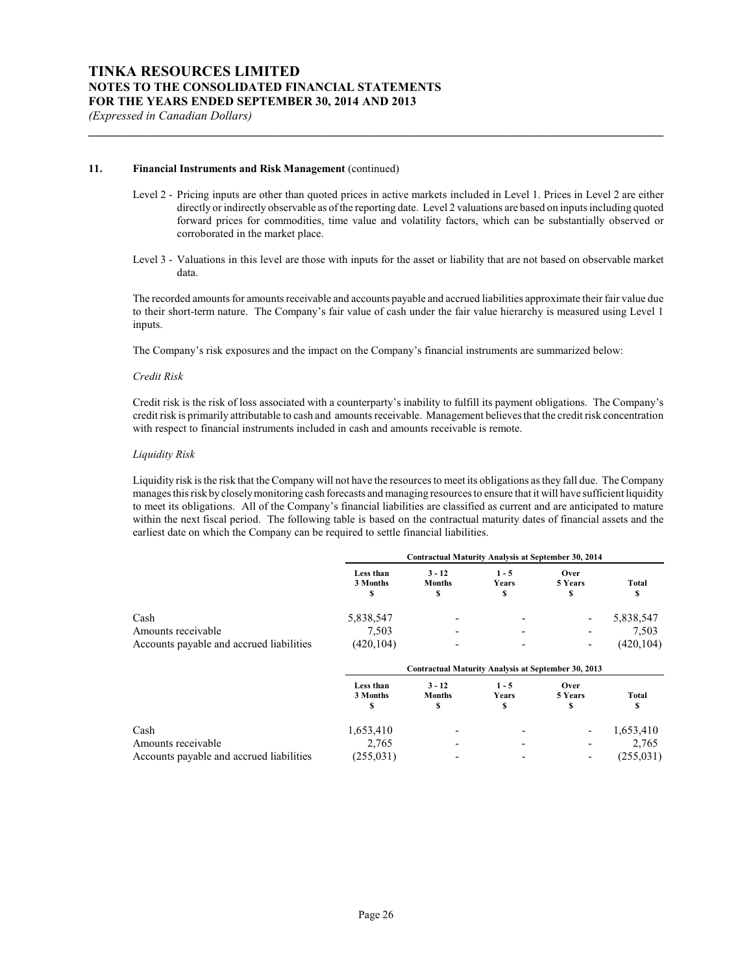#### **11. Financial Instruments and Risk Management** (continued)

Level 2 - Pricing inputs are other than quoted prices in active markets included in Level 1. Prices in Level 2 are either directly or indirectly observable as of the reporting date. Level 2 valuations are based on inputs including quoted forward prices for commodities, time value and volatility factors, which can be substantially observed or corroborated in the market place.

**\_\_\_\_\_\_\_\_\_\_\_\_\_\_\_\_\_\_\_\_\_\_\_\_\_\_\_\_\_\_\_\_\_\_\_\_\_\_\_\_\_\_\_\_\_\_\_\_\_\_\_\_\_\_\_\_\_\_\_\_\_\_\_\_\_\_\_\_\_\_\_\_\_\_\_\_\_\_\_\_\_\_\_\_\_\_\_\_\_\_\_\_\_**

Level 3 - Valuations in this level are those with inputs for the asset or liability that are not based on observable market data.

The recorded amounts for amounts receivable and accounts payable and accrued liabilities approximate their fair value due to their short-term nature. The Company's fair value of cash under the fair value hierarchy is measured using Level 1 inputs.

The Company's risk exposures and the impact on the Company's financial instruments are summarized below:

#### *Credit Risk*

Credit risk is the risk of loss associated with a counterparty's inability to fulfill its payment obligations. The Company's credit risk is primarily attributable to cash and amounts receivable. Management believes that the credit risk concentration with respect to financial instruments included in cash and amounts receivable is remote.

#### *Liquidity Risk*

Liquidity risk is the risk that the Company will not have the resources to meet its obligations as they fall due. The Company manages this risk by closelymonitoring cash forecasts and managing resources to ensure that it will have sufficient liquidity to meet its obligations. All of the Company's financial liabilities are classified as current and are anticipated to mature within the next fiscal period. The following table is based on the contractual maturity dates of financial assets and the earliest date on which the Company can be required to settle financial liabilities.

|                                          | Contractual Maturity Analysis at September 30, 2014 |                                                     |                        |                      |             |
|------------------------------------------|-----------------------------------------------------|-----------------------------------------------------|------------------------|----------------------|-------------|
|                                          | Less than<br>3 Months<br>\$                         | $3 - 12$<br><b>Months</b><br>\$                     | $1 - 5$<br>Years<br>\$ | Over<br>5 Years<br>S | Total<br>S  |
| Cash                                     | 5,838,547                                           |                                                     |                        |                      | 5,838,547   |
| Amounts receivable                       | 7,503                                               |                                                     |                        |                      | 7,503       |
| Accounts payable and accrued liabilities | (420, 104)                                          |                                                     |                        |                      | (420, 104)  |
|                                          |                                                     | Contractual Maturity Analysis at September 30, 2013 |                        |                      |             |
|                                          | Less than<br>3 Months<br>\$                         | $3 - 12$<br><b>Months</b><br>\$                     | $1 - 5$<br>Years<br>S  | Over<br>5 Years<br>S | Total<br>\$ |
| Cash                                     | 1,653,410                                           |                                                     |                        | ٠                    | 1,653,410   |
| Amounts receivable                       | 2,765                                               |                                                     |                        |                      | 2,765       |
| Accounts payable and accrued liabilities | (255, 031)                                          |                                                     |                        |                      | (255, 031)  |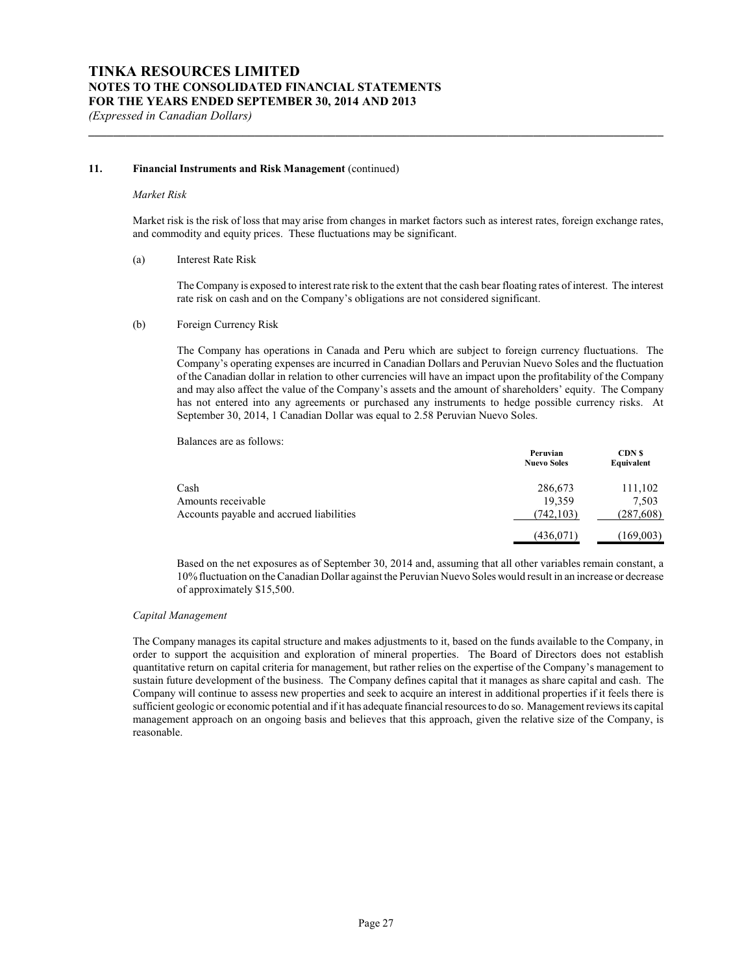#### **11. Financial Instruments and Risk Management** (continued)

#### *Market Risk*

Market risk is the risk of loss that may arise from changes in market factors such as interest rates, foreign exchange rates, and commodity and equity prices. These fluctuations may be significant.

**\_\_\_\_\_\_\_\_\_\_\_\_\_\_\_\_\_\_\_\_\_\_\_\_\_\_\_\_\_\_\_\_\_\_\_\_\_\_\_\_\_\_\_\_\_\_\_\_\_\_\_\_\_\_\_\_\_\_\_\_\_\_\_\_\_\_\_\_\_\_\_\_\_\_\_\_\_\_\_\_\_\_\_\_\_\_\_\_\_\_\_\_\_**

#### (a) Interest Rate Risk

The Company is exposed to interest rate risk to the extent that the cash bear floating rates of interest. The interest rate risk on cash and on the Company's obligations are not considered significant.

#### (b) Foreign Currency Risk

The Company has operations in Canada and Peru which are subject to foreign currency fluctuations. The Company's operating expenses are incurred in Canadian Dollars and Peruvian Nuevo Soles and the fluctuation of the Canadian dollar in relation to other currencies will have an impact upon the profitability of the Company and may also affect the value of the Company's assets and the amount of shareholders' equity. The Company has not entered into any agreements or purchased any instruments to hedge possible currency risks. At September 30, 2014, 1 Canadian Dollar was equal to 2.58 Peruvian Nuevo Soles.

Balances are as follows:

|                                          | Peruvian<br><b>Nuevo Soles</b> | <b>CDN</b> \$<br>Equivalent |
|------------------------------------------|--------------------------------|-----------------------------|
| Cash                                     | 286,673                        | 111,102                     |
| Amounts receivable                       | 19,359                         | 7,503                       |
| Accounts payable and accrued liabilities | (742, 103)                     | (287, 608)                  |
|                                          | (436, 071)                     | (169,003)                   |

Based on the net exposures as of September 30, 2014 and, assuming that all other variables remain constant, a 10% fluctuation on the Canadian Dollar against the Peruvian Nuevo Soles would result in an increase or decrease of approximately \$15,500.

#### *Capital Management*

The Company manages its capital structure and makes adjustments to it, based on the funds available to the Company, in order to support the acquisition and exploration of mineral properties. The Board of Directors does not establish quantitative return on capital criteria for management, but rather relies on the expertise of the Company's management to sustain future development of the business. The Company defines capital that it manages as share capital and cash. The Company will continue to assess new properties and seek to acquire an interest in additional properties if it feels there is sufficient geologic or economic potential and if it has adequate financial resources to do so. Management reviews its capital management approach on an ongoing basis and believes that this approach, given the relative size of the Company, is reasonable.